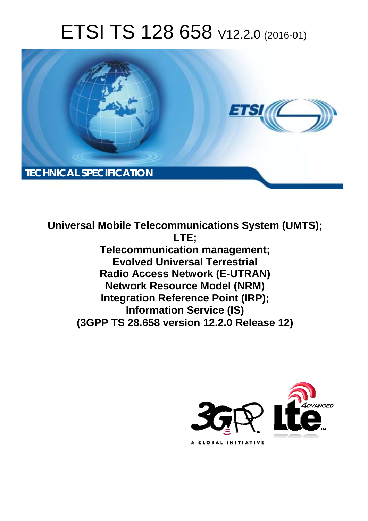# ETSI TS 128 658 V12.2.0 (2016-01)



**Universal Mobile Tel elecommunications System ( (UMTS); Telecomm munication management; Evolved Universal Terrestrial Radio Acc ccess Network (E-UTRAN) Network Resource Model (NRM) Integration Reference Point (IRP); Infor ormation Service (IS) (3GPP TS 28.6 .658 version 12.2.0 Release 12 12) LTE;** 

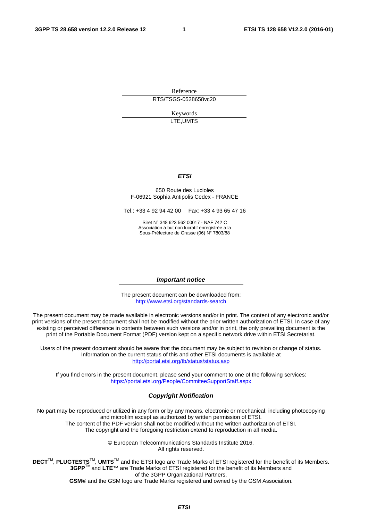Reference RTS/TSGS-0528658vc20

> Keywords LTE,UMTS

#### *ETSI*

#### 650 Route des Lucioles F-06921 Sophia Antipolis Cedex - FRANCE

Tel.: +33 4 92 94 42 00 Fax: +33 4 93 65 47 16

Siret N° 348 623 562 00017 - NAF 742 C Association à but non lucratif enregistrée à la Sous-Préfecture de Grasse (06) N° 7803/88

#### *Important notice*

The present document can be downloaded from: <http://www.etsi.org/standards-search>

The present document may be made available in electronic versions and/or in print. The content of any electronic and/or print versions of the present document shall not be modified without the prior written authorization of ETSI. In case of any existing or perceived difference in contents between such versions and/or in print, the only prevailing document is the print of the Portable Document Format (PDF) version kept on a specific network drive within ETSI Secretariat.

Users of the present document should be aware that the document may be subject to revision or change of status. Information on the current status of this and other ETSI documents is available at <http://portal.etsi.org/tb/status/status.asp>

If you find errors in the present document, please send your comment to one of the following services: <https://portal.etsi.org/People/CommiteeSupportStaff.aspx>

#### *Copyright Notification*

No part may be reproduced or utilized in any form or by any means, electronic or mechanical, including photocopying and microfilm except as authorized by written permission of ETSI.

The content of the PDF version shall not be modified without the written authorization of ETSI. The copyright and the foregoing restriction extend to reproduction in all media.

> © European Telecommunications Standards Institute 2016. All rights reserved.

**DECT**TM, **PLUGTESTS**TM, **UMTS**TM and the ETSI logo are Trade Marks of ETSI registered for the benefit of its Members. **3GPP**TM and **LTE**™ are Trade Marks of ETSI registered for the benefit of its Members and of the 3GPP Organizational Partners.

**GSM**® and the GSM logo are Trade Marks registered and owned by the GSM Association.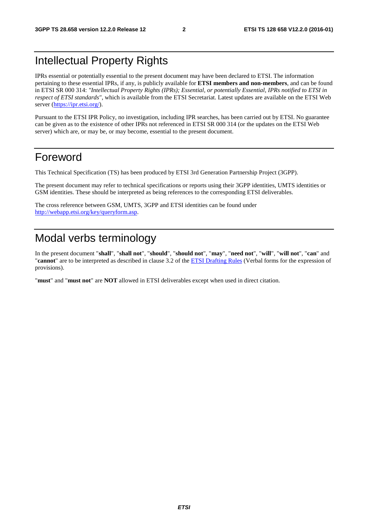### Intellectual Property Rights

IPRs essential or potentially essential to the present document may have been declared to ETSI. The information pertaining to these essential IPRs, if any, is publicly available for **ETSI members and non-members**, and can be found in ETSI SR 000 314: *"Intellectual Property Rights (IPRs); Essential, or potentially Essential, IPRs notified to ETSI in respect of ETSI standards"*, which is available from the ETSI Secretariat. Latest updates are available on the ETSI Web server [\(https://ipr.etsi.org/\)](https://ipr.etsi.org/).

Pursuant to the ETSI IPR Policy, no investigation, including IPR searches, has been carried out by ETSI. No guarantee can be given as to the existence of other IPRs not referenced in ETSI SR 000 314 (or the updates on the ETSI Web server) which are, or may be, or may become, essential to the present document.

### Foreword

This Technical Specification (TS) has been produced by ETSI 3rd Generation Partnership Project (3GPP).

The present document may refer to technical specifications or reports using their 3GPP identities, UMTS identities or GSM identities. These should be interpreted as being references to the corresponding ETSI deliverables.

The cross reference between GSM, UMTS, 3GPP and ETSI identities can be found under [http://webapp.etsi.org/key/queryform.asp.](http://webapp.etsi.org/key/queryform.asp)

### Modal verbs terminology

In the present document "**shall**", "**shall not**", "**should**", "**should not**", "**may**", "**need not**", "**will**", "**will not**", "**can**" and "**cannot**" are to be interpreted as described in clause 3.2 of the [ETSI Drafting Rules](http://portal.etsi.org/Help/editHelp!/Howtostart/ETSIDraftingRules.aspx) (Verbal forms for the expression of provisions).

"**must**" and "**must not**" are **NOT** allowed in ETSI deliverables except when used in direct citation.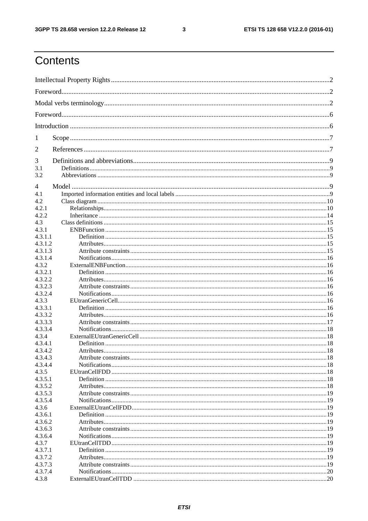$\mathbf{3}$ 

### Contents

| 1                  |  |  |  |  |
|--------------------|--|--|--|--|
| $\overline{2}$     |  |  |  |  |
| 3                  |  |  |  |  |
| 3.1                |  |  |  |  |
| 3.2                |  |  |  |  |
| 4                  |  |  |  |  |
| 4.1                |  |  |  |  |
| 4.2                |  |  |  |  |
| 4.2.1              |  |  |  |  |
| 4.2.2              |  |  |  |  |
| 4.3                |  |  |  |  |
| 4.3.1              |  |  |  |  |
| 4.3.1.1            |  |  |  |  |
| 4.3.1.2            |  |  |  |  |
| 4.3.1.3            |  |  |  |  |
| 4.3.1.4            |  |  |  |  |
| 4.3.2              |  |  |  |  |
| 4.3.2.1            |  |  |  |  |
| 4.3.2.2            |  |  |  |  |
| 4.3.2.3            |  |  |  |  |
| 4.3.2.4            |  |  |  |  |
| 4.3.3              |  |  |  |  |
| 4.3.3.1            |  |  |  |  |
| 4.3.3.2<br>4.3.3.3 |  |  |  |  |
| 4.3.3.4            |  |  |  |  |
| 4.3.4              |  |  |  |  |
| 4.3.4.1            |  |  |  |  |
| 4.3.4.2            |  |  |  |  |
| 4.3.4.3            |  |  |  |  |
| 4.3.4.4            |  |  |  |  |
| 4.3.5              |  |  |  |  |
| 4.3.5.1            |  |  |  |  |
| 4.3.5.2            |  |  |  |  |
| 4.3.5.3            |  |  |  |  |
| 4.3.5.4            |  |  |  |  |
| 4.3.6              |  |  |  |  |
| 4.3.6.1            |  |  |  |  |
| 4.3.6.2            |  |  |  |  |
| 4.3.6.3            |  |  |  |  |
| 4.3.6.4            |  |  |  |  |
| 4.3.7              |  |  |  |  |
| 4.3.7.1            |  |  |  |  |
| 4.3.7.2            |  |  |  |  |
| 4.3.7.3            |  |  |  |  |
| 4.3.7.4            |  |  |  |  |
| 4.3.8              |  |  |  |  |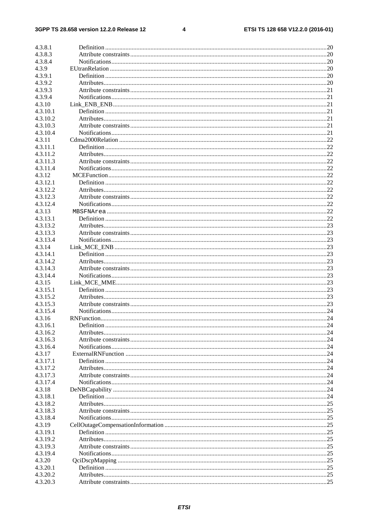#### $\overline{\mathbf{4}}$

| 4.3.8.1  |            |     |
|----------|------------|-----|
| 4.3.8.3  |            |     |
| 4.3.8.4  |            |     |
| 4.3.9    |            |     |
| 4.3.9.1  |            |     |
| 4.3.9.2  |            |     |
| 4.3.9.3  |            |     |
| 4.3.9.4  |            |     |
| 4.3.10   |            |     |
| 4.3.10.1 |            |     |
| 4.3.10.2 |            |     |
| 4.3.10.3 |            |     |
| 4.3.10.4 |            |     |
| 4.3.11   |            |     |
|          |            |     |
| 4.3.11.1 |            |     |
| 4.3.11.2 |            |     |
| 4.3.11.3 |            |     |
| 4.3.11.4 |            |     |
| 4.3.12   |            |     |
| 4.3.12.1 |            |     |
| 4.3.12.2 |            |     |
| 4.3.12.3 |            |     |
| 4.3.12.4 |            |     |
| 4.3.13   |            |     |
| 4.3.13.1 |            |     |
| 4.3.13.2 |            |     |
| 4.3.13.3 |            |     |
| 4.3.13.4 |            |     |
| 4.3.14   |            |     |
| 4.3.14.1 |            |     |
| 4.3.14.2 |            |     |
| 4.3.14.3 |            |     |
| 4.3.14.4 |            |     |
| 4.3.15   |            |     |
| 4.3.15.1 |            |     |
| 4.3.15.2 |            |     |
| 4.3.15.3 |            |     |
| 4.3.15.4 |            |     |
| 4.3.16   | RNFunction | .24 |
| 4.3.16.1 |            |     |
| 4.3.16.2 |            |     |
| 4.3.16.3 |            |     |
| 4.3.16.4 |            |     |
| 4.3.17   |            |     |
| 4.3.17.1 |            |     |
| 4.3.17.2 |            |     |
| 4.3.17.3 |            |     |
| 4.3.17.4 |            |     |
| 4.3.18   |            |     |
| 4.3.18.1 |            |     |
| 4.3.18.2 |            |     |
| 4.3.18.3 |            |     |
| 4.3.18.4 |            |     |
| 4.3.19   |            |     |
| 4.3.19.1 |            |     |
| 4.3.19.2 |            |     |
| 4.3.19.3 |            |     |
| 4.3.19.4 |            |     |
| 4.3.20   |            |     |
| 4.3.20.1 |            |     |
| 4.3.20.2 |            |     |
| 4.3.20.3 |            |     |
|          |            |     |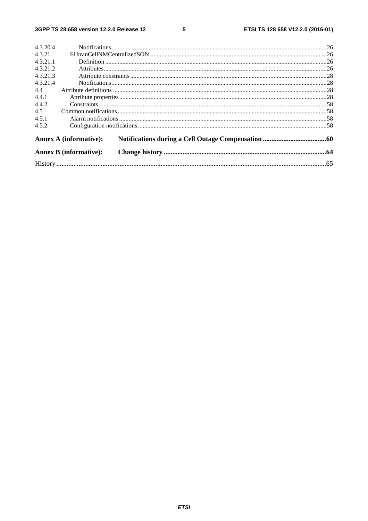$5\phantom{a}$ 

| 4.3.20.4 |                               |  |
|----------|-------------------------------|--|
| 4.3.21   |                               |  |
| 4.3.21.1 |                               |  |
| 4.3.21.2 |                               |  |
| 4.3.21.3 |                               |  |
| 4.3.21.4 |                               |  |
| 4.4      |                               |  |
| 4.4.1    |                               |  |
| 4.4.2    |                               |  |
| 4.5      |                               |  |
| 4.5.1    |                               |  |
| 4.5.2    |                               |  |
|          | <b>Annex A (informative):</b> |  |
|          | <b>Annex B</b> (informative): |  |
|          |                               |  |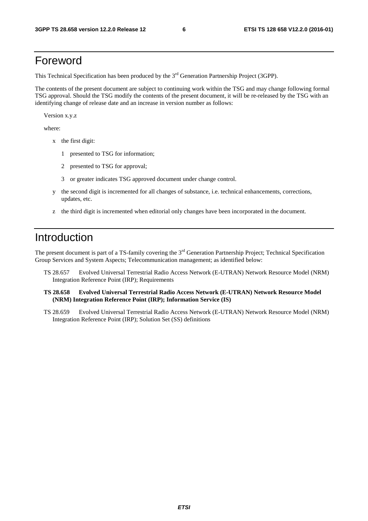### Foreword

This Technical Specification has been produced by the 3<sup>rd</sup> Generation Partnership Project (3GPP).

The contents of the present document are subject to continuing work within the TSG and may change following formal TSG approval. Should the TSG modify the contents of the present document, it will be re-released by the TSG with an identifying change of release date and an increase in version number as follows:

Version x.y.z

where:

- x the first digit:
	- 1 presented to TSG for information;
	- 2 presented to TSG for approval;
	- 3 or greater indicates TSG approved document under change control.
- y the second digit is incremented for all changes of substance, i.e. technical enhancements, corrections, updates, etc.
- z the third digit is incremented when editorial only changes have been incorporated in the document.

### Introduction

The present document is part of a TS-family covering the 3<sup>rd</sup> Generation Partnership Project; Technical Specification Group Services and System Aspects; Telecommunication management; as identified below:

- TS 28.657 Evolved Universal Terrestrial Radio Access Network (E-UTRAN) Network Resource Model (NRM) Integration Reference Point (IRP); Requirements
- **TS 28.658 Evolved Universal Terrestrial Radio Access Network (E-UTRAN) Network Resource Model (NRM) Integration Reference Point (IRP); Information Service (IS)**
- TS 28.659 Evolved Universal Terrestrial Radio Access Network (E-UTRAN) Network Resource Model (NRM) Integration Reference Point (IRP); Solution Set (SS) definitions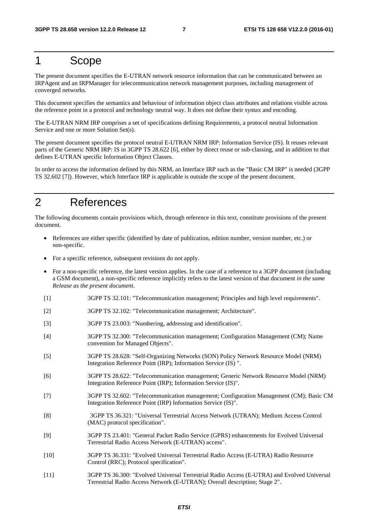### 1 Scope

The present document specifies the E-UTRAN network resource information that can be communicated between an IRPAgent and an IRPManager for telecommunication network management purposes, including management of converged networks.

This document specifies the semantics and behaviour of information object class attributes and relations visible across the reference point in a protocol and technology neutral way. It does not define their syntax and encoding.

The E-UTRAN NRM IRP comprises a set of specifications defining Requirements, a protocol neutral Information Service and one or more Solution Set(s).

The present document specifies the protocol neutral E-UTRAN NRM IRP: Information Service (IS). It reuses relevant parts of the Generic NRM IRP: IS in 3GPP TS 28.622 [6], either by direct reuse or sub-classing, and in addition to that defines E-UTRAN specific Information Object Classes.

In order to access the information defined by this NRM, an Interface IRP such as the "Basic CM IRP" is needed (3GPP TS 32.602 [7]). However, which Interface IRP is applicable is outside the scope of the present document.

### 2 References

The following documents contain provisions which, through reference in this text, constitute provisions of the present document.

- References are either specific (identified by date of publication, edition number, version number, etc.) or non-specific.
- For a specific reference, subsequent revisions do not apply.
- For a non-specific reference, the latest version applies. In the case of a reference to a 3GPP document (including a GSM document), a non-specific reference implicitly refers to the latest version of that document *in the same Release as the present document*.
- [1] 3GPP TS 32.101: "Telecommunication management; Principles and high level requirements".
- [2] 3GPP TS 32.102: "Telecommunication management; Architecture".
- [3] 3GPP TS 23.003: "Numbering, addressing and identification".
- [4] 3GPP TS 32.300: "Telecommunication management; Configuration Management (CM); Name convention for Managed Objects".
- [5] 3GPP TS 28.628: "Self-Organizing Networks (SON) Policy Network Resource Model (NRM) Integration Reference Point (IRP); Information Service (IS) ".
- [6] 3GPP TS 28.622: "Telecommunication management; Generic Network Resource Model (NRM) Integration Reference Point (IRP); Information Service (IS)".
- [7] 3GPP TS 32.602: "Telecommunication management; Configuration Management (CM); Basic CM Integration Reference Point (IRP) Information Service (IS)".
- [8] 3GPP TS 36.321: "Universal Terrestrial Access Network (UTRAN); Medium Access Control (MAC) protocol specification".
- [9] 3GPP TS 23.401: "General Packet Radio Service (GPRS) enhancements for Evolved Universal Terrestrial Radio Access Network (E-UTRAN) access".
- [10] 3GPP TS 36.331: "Evolved Universal Terrestrial Radio Access (E-UTRA) Radio Resource Control (RRC); Protocol specification".
- [11] 3GPP TS 36.300: "Evolved Universal Terrestrial Radio Access (E-UTRA) and Evolved Universal Terrestrial Radio Access Network (E-UTRAN); Overall description; Stage 2".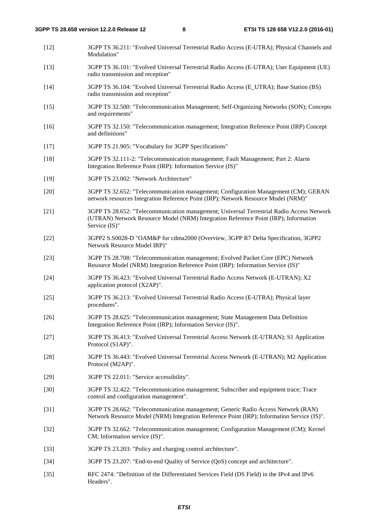- [12] 3GPP TS 36.211: "Evolved Universal Terrestrial Radio Access (E-UTRA); Physical Channels and Modulation"
- [13] 3GPP TS 36.101: "Evolved Universal Terrestrial Radio Access (E-UTRA); User Equipment (UE) radio transmission and reception"
- [14] 3GPP TS 36.104: "Evolved Universal Terrestrial Radio Access (E\_UTRA); Base Station (BS) radio transmission and reception"
- [15] 3GPP TS 32.500: "Telecommunication Management; Self-Organizing Networks (SON); Concepts and requirements"
- [16] 3GPP TS 32.150: "Telecommunication management; Integration Reference Point (IRP) Concept and definitions"
- [17] 3GPP TS 21.905: "Vocabulary for 3GPP Specifications"
- [18] 3GPP TS 32.111-2: "Telecommunication management; Fault Management; Part 2: Alarm Integration Reference Point (IRP): Information Service (IS)"
- [19] 3GPP TS 23.002: "Network Architecture"
- [20] 3GPP TS 32.652: "Telecommunication management; Configuration Management (CM); GERAN network resources Integration Reference Point (IRP); Network Resource Model (NRM)"
- [21] 3GPP TS 28.652: "Telecommunication management; Universal Terrestrial Radio Access Network (UTRAN) Network Resource Model (NRM) Integration Reference Point (IRP); Information Service (IS)"
- [22] 3GPP2 S.S0028-D "OAM&P for cdma2000 (Overview, 3GPP R7 Delta Specification, 3GPP2 Network Resource Model IRP)"
- [23] 3GPP TS 28.708: "Telecommunication management; Evolved Packet Core (EPC) Network Resource Model (NRM) Integration Reference Point (IRP): Information Service (IS)"
- [24] 3GPP TS 36.423: "Evolved Universal Terrestrial Radio Access Network (E-UTRAN); X2 application protocol (X2AP)".
- [25] 3GPP TS 36.213: "Evolved Universal Terrestrial Radio Access (E-UTRA); Physical layer procedures".
- [26] 3GPP TS 28.625: "Telecommunication management; State Management Data Definition Integration Reference Point (IRP); Information Service (IS)".
- [27] 3GPP TS 36.413: "Evolved Universal Terrestrial Access Network (E-UTRAN); S1 Application Protocol (S1AP)".
- [28] 3GPP TS 36.443: "Evolved Universal Terrestrial Access Network (E-UTRAN); M2 Application Protocol (M2AP)".
- [29] 3GPP TS 22.011: "Service accessibility".
- [30] 3GPP TS 32.422: "Telecommunication management; Subscriber and equipment trace; Trace control and configuration management".
- [31] 3GPP TS 28.662: "Telecommunication management; Generic Radio Access Network (RAN) Network Resource Model (NRM) Integration Reference Point (IRP); Information Service (IS)".
- [32] 3GPP TS 32.662: "Telecommunication management; Configuration Management (CM); Kernel CM; Information service (IS)".
- [33] 3GPP TS 23.203: "Policy and charging control architecture".
- [34] 3GPP TS 23.207: "End-to-end Quality of Service (QoS) concept and architecture".
- [35] RFC 2474: "Definition of the Differentiated Services Field (DS Field) in the IPv4 and IPv6 Headers".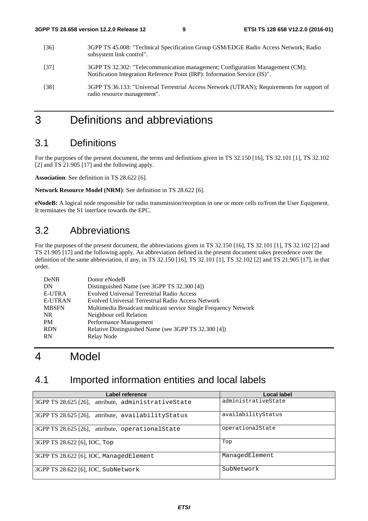- [36] 3GPP TS 45.008: "Technical Specification Group GSM/EDGE Radio Access Network; Radio subsystem link control".
- [37] 3GPP TS 32.302: "Telecommunication management; Configuration Management (CM); Notification Integration Reference Point (IRP): Information Service (IS)".
- [38] 3GPP TS 36.133: "Universal Terrestrial Access Network (UTRAN); Requirements for support of radio resource management".

### 3 Definitions and abbreviations

### 3.1 Definitions

For the purposes of the present document, the terms and definitions given in TS 32.150 [16], TS 32.101 [1], TS 32.102 [2] and TS 21.905 [17] and the following apply.

**Association**: See definition in TS 28.622 [6].

**Network Resource Model (NRM)**: See definition in TS 28.622 [6].

**eNodeB:** A logical node responsible for radio transmission/reception in one or more cells to/from the User Equipment. It terminates the S1 interface towards the EPC.

### 3.2 Abbreviations

For the purposes of the present document, the abbreviations given in TS 32.150 [16], TS 32.101 [1], TS 32.102 [2] and TS 21.905 [17] and the following apply. An abbreviation defined in the present document takes precedence over the definition of the same abbreviation, if any, in TS 32.150 [16], TS 32.101 [1], TS 32.102 [2] and TS 21.905 [17], in that order.

| DeNB           | Donor eNodeB                                                    |
|----------------|-----------------------------------------------------------------|
| DN             | Distinguished Name (see 3GPP TS 32.300 [4])                     |
| <b>E-UTRA</b>  | <b>Evolved Universal Terrestrial Radio Access</b>               |
| <b>E-UTRAN</b> | Evolved Universal Terrestrial Radio Access Network              |
| <b>MBSFN</b>   | Multimedia Broadcast multicast service Single Frequency Network |
| NR.            | Neighbour cell Relation                                         |
| <b>PM</b>      | Performance Management                                          |
| <b>RDN</b>     | Relative Distinguished Name (see 3GPP TS 32.300 [4])            |
| <b>RN</b>      | Relay Node                                                      |

### 4 Model

### 4.1 Imported information entities and local labels

| Label reference                                     | Local label         |
|-----------------------------------------------------|---------------------|
| 3GPP TS 28.625 [26], attribute, administrativeState | administrativeState |
| 3GPP TS 28.625 [26], attribute, availability Status | availabilityStatus  |
| 3GPP TS 28.625 [26], attribute, operational State   | operationalState    |
| 3GPP TS 28.622 [6], IOC, Top                        | Top                 |
| 3GPP TS 28.622 [6], IOC, ManagedElement             | ManagedElement      |
| 3GPP TS 28.622 [6], IOC, SubNetwork                 | SubNetwork          |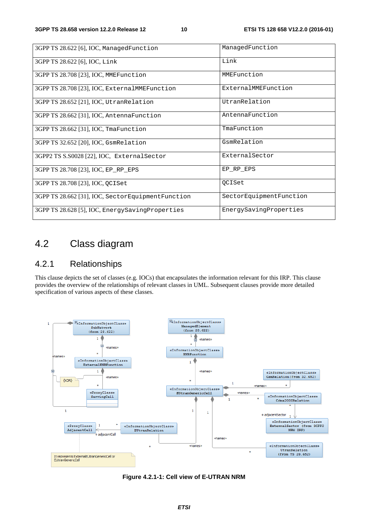| 3GPP TS 28.622 [6], IOC, ManagedFunction          | ManagedFunction         |
|---------------------------------------------------|-------------------------|
| 3GPP TS 28.622 [6], IOC, Link                     | Link                    |
| 3GPP TS 28.708 [23], IOC, MMEFunction             | MMEFunction             |
| 3GPP TS 28.708 [23], IOC, ExternalMMEFunction     | ExternalMMEFunction     |
| 3GPP TS 28.652 [21], IOC, UtranRelation           | UtranRelation           |
| 3GPP TS 28.662 [31], IOC, AntennaFunction         | AntennaFunction         |
| 3GPP TS 28.662 [31], IOC, TmaFunction             | TmaFunction             |
| 3GPP TS 32.652 [20], IOC, GsmRelation             | GsmRelation             |
| 3GPP2 TS S.S0028 [22], IOC, External Sector       | ExternalSector          |
| 3GPP TS 28.708 [23], IOC, EP_RP_EPS               | EP RP EPS               |
| 3GPP TS 28.708 [23], IOC, QCISet                  | <b>QCISet</b>           |
| 3GPP TS 28.662 [31], IOC, SectorEquipmentFunction | SectorEquipmentFunction |
| 3GPP TS 28.628 [5], IOC, EnergySavingProperties   | EnergySavingProperties  |

### 4.2 Class diagram

### 4.2.1 Relationships

This clause depicts the set of classes (e.g. IOCs) that encapsulates the information relevant for this IRP. This clause provides the overview of the relationships of relevant classes in UML. Subsequent clauses provide more detailed specification of various aspects of these classes.



**Figure 4.2.1-1: Cell view of E-UTRAN NRM**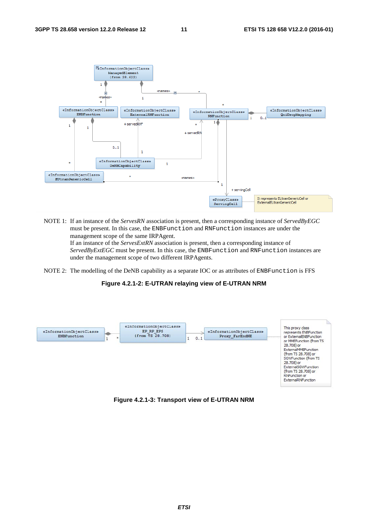

NOTE 1: If an instance of the *ServesRN* association is present, then a corresponding instance of *ServedByEGC* must be present. In this case, the ENBFunction and RNFunction instances are under the management scope of the same IRPAgent. If an instance of the *ServesExtRN* association is present, then a corresponding instance of

*ServedByExtEGC* must be present. In this case, the ENBFunction and RNFunction instances are under the management scope of two different IRPAgents.

NOTE 2: The modelling of the DeNB capability as a separate IOC or as attributes of ENBFunction is FFS

#### **Figure 4.2.1-2: E-UTRAN relaying view of E-UTRAN NRM**



#### **Figure 4.2.1-3: Transport view of E-UTRAN NRM**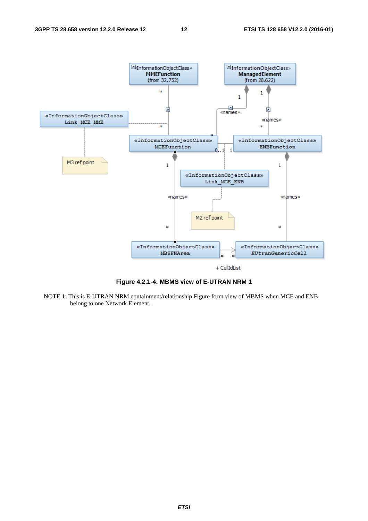

**Figure 4.2.1-4: MBMS view of E-UTRAN NRM 1** 

NOTE 1: This is E-UTRAN NRM containment/relationship Figure form view of MBMS when MCE and ENB belong to one Network Element.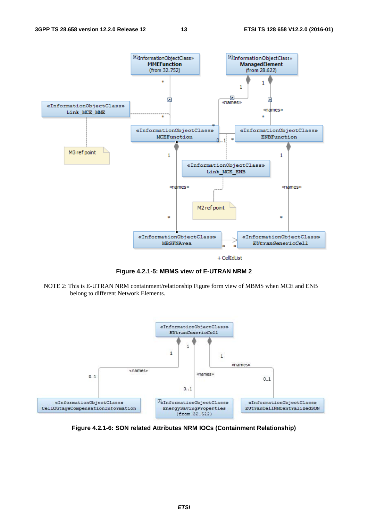

**Figure 4.2.1-5: MBMS view of E-UTRAN NRM 2** 

NOTE 2: This is E-UTRAN NRM containment/relationship Figure form view of MBMS when MCE and ENB belong to different Network Elements.



**Figure 4.2.1-6: SON related Attributes NRM IOCs (Containment Relationship)**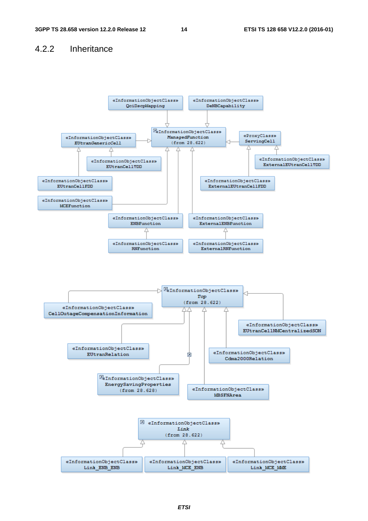#### 4.2.2 Inheritance

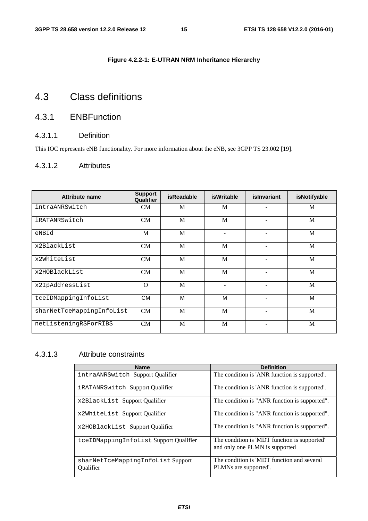#### **Figure 4.2.2-1: E-UTRAN NRM Inheritance Hierarchy**

### 4.3 Class definitions

### 4.3.1 ENBFunction

#### 4.3.1.1 Definition

This IOC represents eNB functionality. For more information about the eNB, see 3GPP TS 23.002 [19].

#### 4.3.1.2 Attributes

| Attribute name            | <b>Support</b><br>Qualifier | <b>isReadable</b> | <b>isWritable</b> | islnvariant | isNotifyable |
|---------------------------|-----------------------------|-------------------|-------------------|-------------|--------------|
| intraANRSwitch            | CM                          | M                 | M                 |             | M            |
| iRATANRSwitch             | <b>CM</b>                   | M                 | M                 |             | M            |
| eNBId                     | M                           | M                 |                   | ۰           | M            |
| x2BlackList               | <b>CM</b>                   | M                 | M                 |             | M            |
| x2WhiteList               | <b>CM</b>                   | M                 | M                 |             | M            |
| x2HOBlackList             | <b>CM</b>                   | M                 | M                 | $\equiv$    | M            |
| x2IpAddressList           | $\Omega$                    | M                 |                   |             | M            |
| tceIDMappingInfoList      | <b>CM</b>                   | M                 | M                 | ٠           | M            |
| sharNetTceMappingInfoList | CM                          | M                 | M                 |             | M            |
| netListeningRSForRIBS     | CM                          | M                 | M                 |             | M            |

#### 4.3.1.3 Attribute constraints

| <b>Name</b>                                           | <b>Definition</b>                                                              |
|-------------------------------------------------------|--------------------------------------------------------------------------------|
| intraANRSwitch Support Qualifier                      | The condition is 'ANR function is supported'.                                  |
| <i>iRATANRSwitch Support Qualifier</i>                | The condition is 'ANR function is supported'.                                  |
| x2BlackList Support Qualifier                         | The condition is "ANR function is supported".                                  |
| x2WhiteList Support Qualifier                         | The condition is "ANR function is supported".                                  |
| x2HOBlackList Support Qualifier                       | The condition is "ANR function is supported".                                  |
| tceIDMappingInfoList Support Qualifier                | The condition is 'MDT function is supported'<br>and only one PLMN is supported |
| sharNetTceMappingInfoList Support<br><b>Oualifier</b> | The condition is 'MDT function and several<br>PLMNs are supported'.            |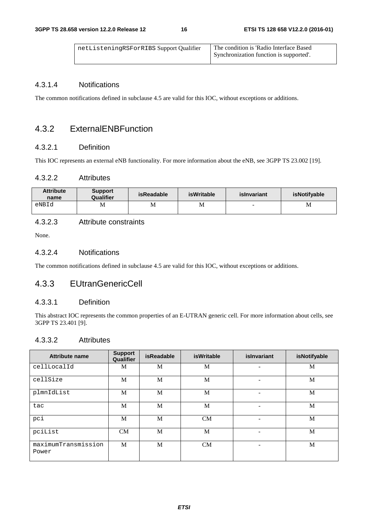| netListeningRSForRIBS Support Qualifier | The condition is 'Radio Interface Based<br>Synchronization function is supported'. |
|-----------------------------------------|------------------------------------------------------------------------------------|
|                                         |                                                                                    |

#### 4.3.1.4 Notifications

The common notifications defined in subclause 4.5 are valid for this IOC, without exceptions or additions.

#### 4.3.2 ExternalENBFunction

#### 4.3.2.1 Definition

This IOC represents an external eNB functionality. For more information about the eNB, see 3GPP TS 23.002 [19].

#### 4.3.2.2 Attributes

| <b>Attribute</b><br>name | <b>Support</b><br>Qualifier | isReadable | isWritable | islnvariant | isNotifyable |
|--------------------------|-----------------------------|------------|------------|-------------|--------------|
| eNBId                    | M                           | М          | М          | -           | M            |

#### 4.3.2.3 Attribute constraints

None.

#### 4.3.2.4 Notifications

The common notifications defined in subclause 4.5 are valid for this IOC, without exceptions or additions.

#### 4.3.3 EUtranGenericCell

#### 4.3.3.1 Definition

This abstract IOC represents the common properties of an E-UTRAN generic cell. For more information about cells, see 3GPP TS 23.401 [9].

#### 4.3.3.2 Attributes

| <b>Attribute name</b>        | <b>Support</b><br>Qualifier | <b>isReadable</b> | <b>isWritable</b> | islnvariant | isNotifyable |
|------------------------------|-----------------------------|-------------------|-------------------|-------------|--------------|
| cellLocalId                  | M                           | M                 | M                 |             | M            |
| cellSize                     | M                           | M                 | M                 | -           | M            |
| plmnIdList                   | M                           | M                 | M                 | ٠           | M            |
| tac                          | M                           | M                 | M                 | ٠           | M            |
| pci                          | M                           | M                 | <b>CM</b>         | ۰           | M            |
| pciList                      | <b>CM</b>                   | M                 | M                 |             | M            |
| maximumTransmission<br>Power | M                           | M                 | <b>CM</b>         | ۰           | M            |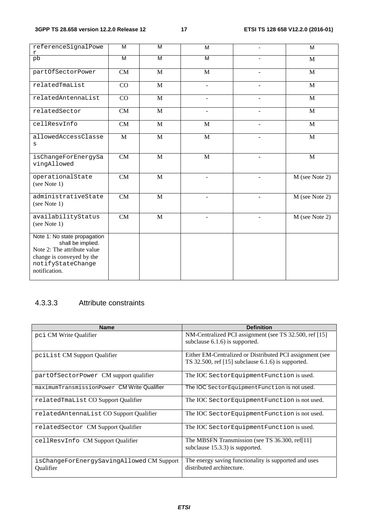| referenceSignalPowe<br>r                                                                                                                            | M  | M            | M              |                          | M              |
|-----------------------------------------------------------------------------------------------------------------------------------------------------|----|--------------|----------------|--------------------------|----------------|
| pb                                                                                                                                                  | M  | M            | M              | ÷                        | M              |
| partOfSectorPower                                                                                                                                   | CM | $\mathbf{M}$ | $\mathbf{M}$   |                          | M              |
| relatedTmaList                                                                                                                                      | CO | $\mathbf{M}$ |                |                          | $\mathbf{M}$   |
| relatedAntennaList                                                                                                                                  | CO | $\mathbf{M}$ |                |                          | M              |
| relatedSector                                                                                                                                       | CM | M            | $\blacksquare$ | $\blacksquare$           | M              |
| cellResvInfo                                                                                                                                        | CM | $\mathbf{M}$ | M              |                          | $\mathbf{M}$   |
| allowedAccessClasse<br>$\mathtt{s}$                                                                                                                 | M  | $\mathbf{M}$ | M              |                          | M              |
| isChangeForEnergySa<br>vingAllowed                                                                                                                  | CM | $\mathbf{M}$ | M              | ٠                        | $\mathbf{M}$   |
| operationalState<br>(see Note 1)                                                                                                                    | CM | $\mathbf M$  | ٠              | $\overline{\phantom{a}}$ | M (see Note 2) |
| administrativeState<br>(see Note 1)                                                                                                                 | CM | $\mathbf{M}$ |                |                          | M (see Note 2) |
| availabilityStatus<br>(see Note 1)                                                                                                                  | CM | M            |                |                          | M (see Note 2) |
| Note 1: No state propagation<br>shall be implied.<br>Note 2: The attribute value<br>change is conveyed by the<br>notifyStateChange<br>notification. |    |              |                |                          |                |

### 4.3.3.3 Attribute constraints

| <b>Name</b>                                            | <b>Definition</b>                                                                                                |
|--------------------------------------------------------|------------------------------------------------------------------------------------------------------------------|
| pci CM Write Qualifier                                 | NM-Centralized PCI assignment (see TS 32.500, ref [15]<br>subclause $6.1.6$ is supported.                        |
|                                                        |                                                                                                                  |
| pcilist CM Support Qualifier                           | Either EM-Centralized or Distributed PCI assignment (see<br>TS 32.500, ref $[15]$ subclause 6.1.6) is supported. |
| partOfSectorPower CM support qualifier                 | The IOC Sector Equipment Function is used.                                                                       |
| maximumTransmissionPower CM Write Qualifier            | The IOC Sector Equipment Function is not used.                                                                   |
| relatedTmaList CO Support Qualifier                    | The IOC Sector Equipment Function is not used.                                                                   |
| relatedAntennaList CO Support Qualifier                | The IOC Sector Equipment Function is not used.                                                                   |
| relatedSector CM Support Qualifier                     | The IOC Sector Equipment Function is used.                                                                       |
| cellResvInfo CM Support Qualifier                      | The MBSFN Transmission (see TS 36.300, ref[11]<br>subclause 15.3.3) is supported.                                |
| isChangeForEnergySavingAllowed CM Support<br>Oualifier | The energy saving functionality is supported and uses<br>distributed architecture.                               |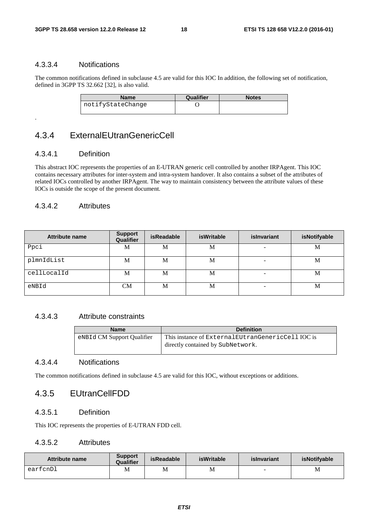#### 4.3.3.4 Notifications

The common notifications defined in subclause 4.5 are valid for this IOC In addition, the following set of notification, defined in 3GPP TS 32.662 [32], is also valid.

| Name              | <b>Qualifier</b> | <b>Notes</b> |
|-------------------|------------------|--------------|
| notifyStateChange |                  |              |

### 4.3.4 ExternalEUtranGenericCell

#### 4.3.4.1 Definition

.

This abstract IOC represents the properties of an E-UTRAN generic cell controlled by another IRPAgent. This IOC contains necessary attributes for inter-system and intra-system handover. It also contains a subset of the attributes of related IOCs controlled by another IRPAgent. The way to maintain consistency between the attribute values of these IOCs is outside the scope of the present document.

#### 4.3.4.2 Attributes

| Attribute name | <b>Support</b><br>Qualifier | <b>isReadable</b> | <b>isWritable</b> | islnvariant | isNotifyable |
|----------------|-----------------------------|-------------------|-------------------|-------------|--------------|
| Ppci           | М                           | M                 | М                 | -           | M            |
| plmnIdList     | М                           | M                 | М                 | -           | M            |
| cellLocalId    | М                           | M                 | М                 |             | M            |
| eNBId          | <b>CM</b>                   | M                 | М                 | -           | M            |

#### 4.3.4.3 Attribute constraints

| <b>Name</b>                | <b>Definition</b>                                                                         |
|----------------------------|-------------------------------------------------------------------------------------------|
| eNBId CM Support Qualifier | This instance of External EU trangemeric Cell IOC is<br>directly contained by SubNetwork. |

#### 4.3.4.4 Notifications

The common notifications defined in subclause 4.5 are valid for this IOC, without exceptions or additions.

#### 4.3.5 EUtranCellFDD

#### 4.3.5.1 Definition

This IOC represents the properties of E-UTRAN FDD cell.

#### 4.3.5.2 Attributes

| Attribute name | <b>Support</b><br>Qualifier | <b>isReadable</b> | <b>isWritable</b> | islnvariant | <b>isNotifvable</b> |
|----------------|-----------------------------|-------------------|-------------------|-------------|---------------------|
| earfcnDl       | M                           | M                 | М                 |             | M                   |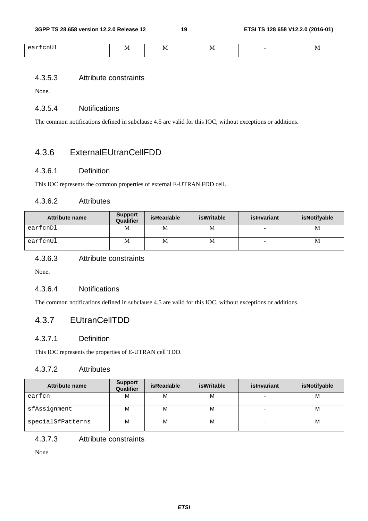| $- -$<br>$\sim$<br>$\sim$ $\sim$ $\sim$ | $\cdots$ | w<br>$\overline{\phantom{a}}$ | $\ddotsc$ | $\bf{N}$<br>$\overline{\phantom{a}}$ |
|-----------------------------------------|----------|-------------------------------|-----------|--------------------------------------|
|                                         |          |                               |           |                                      |

#### 4.3.5.3 Attribute constraints

None.

#### 4.3.5.4 Notifications

The common notifications defined in subclause 4.5 are valid for this IOC, without exceptions or additions.

#### 4.3.6 ExternalEUtranCellFDD

#### 4.3.6.1 Definition

This IOC represents the common properties of external E-UTRAN FDD cell.

#### 4.3.6.2 Attributes

| <b>Attribute name</b> | <b>Support</b><br>Qualifier | <b>isReadable</b> | isWritable | islnvariant              | isNotifyable |
|-----------------------|-----------------------------|-------------------|------------|--------------------------|--------------|
| earfcnDl              | М                           | M                 | М          | -                        | M            |
| earfcnUl              | М                           | M                 | M          | $\overline{\phantom{0}}$ | M            |

#### 4.3.6.3 Attribute constraints

None.

#### 4.3.6.4 Notifications

The common notifications defined in subclause 4.5 are valid for this IOC, without exceptions or additions.

### 4.3.7 EUtranCellTDD

#### 4.3.7.1 Definition

This IOC represents the properties of E-UTRAN cell TDD.

#### 4.3.7.2 Attributes

| <b>Attribute name</b> | <b>Support</b><br>Qualifier | <b>isReadable</b> | <b>isWritable</b> | islnvariant | isNotifyable |
|-----------------------|-----------------------------|-------------------|-------------------|-------------|--------------|
| earfcn                | м                           | M                 | м                 |             | M            |
| sfAssignment          | М                           | M                 | м                 |             | M            |
| specialSfPatterns     | М                           | M                 | м                 | -           | M            |

#### 4.3.7.3 Attribute constraints

None.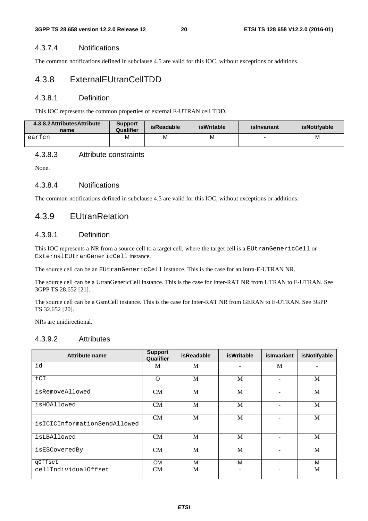#### 4.3.7.4 Notifications

The common notifications defined in subclause 4.5 are valid for this IOC, without exceptions or additions.

#### 4.3.8 ExternalEUtranCellTDD

#### 4.3.8.1 Definition

This IOC represents the common properties of external E-UTRAN cell TDD.

| 4.3.8.2 Attributes Attribute<br>name | <b>Support</b><br>Qualifier | isReadable | <b>isWritable</b> | islnvariant | <b>isNotifvable</b> |
|--------------------------------------|-----------------------------|------------|-------------------|-------------|---------------------|
| eartcn                               |                             | M          | M                 |             | M                   |

#### 4.3.8.3 Attribute constraints

None.

#### 4.3.8.4 Notifications

The common notifications defined in subclause 4.5 are valid for this IOC, without exceptions or additions.

#### 4.3.9 EUtranRelation

#### 4.3.9.1 Definition

This IOC represents a NR from a source cell to a target cell, where the target cell is a EUtranGenericCell or ExternalEUtranGenericCell instance.

The source cell can be an EUtranGenericCell instance. This is the case for an Intra-E-UTRAN NR.

The source cell can be a UtranGenericCell instance. This is the case for Inter-RAT NR from UTRAN to E-UTRAN. See 3GPP TS 28.652 [21].

The source cell can be a GsmCell instance. This is the case for Inter-RAT NR from GERAN to E-UTRAN. See 3GPP TS 32.652 [20].

NRs are unidirectional.

#### 4.3.9.2 Attributes

| <b>Attribute name</b>        | <b>Support</b><br>Qualifier | <b>isReadable</b> | <b>isWritable</b> | islnvariant              | isNotifyable |
|------------------------------|-----------------------------|-------------------|-------------------|--------------------------|--------------|
| id                           | M                           | M                 |                   | M                        |              |
| tCI                          | $\Omega$                    | M                 | M                 |                          | M            |
| isRemoveAllowed              | <b>CM</b>                   | M                 | M                 |                          | M            |
| isHOAllowed                  | <b>CM</b>                   | M                 | M                 |                          | M            |
| isICICInformationSendAllowed | <b>CM</b>                   | M                 | M                 |                          | M            |
| isLBAllowed                  | <b>CM</b>                   | M                 | M                 |                          | M            |
| isESCoveredBy                | <b>CM</b>                   | M                 | M                 |                          | M            |
| qOffset                      | <b>CM</b>                   | м                 | м                 | $\overline{\phantom{0}}$ | м            |
| cellIndividualOffset         | <b>CM</b>                   | M                 |                   |                          | M            |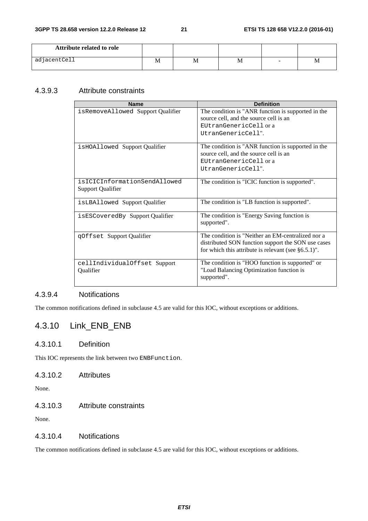| Attribute related to role |   |   |   |   |   |
|---------------------------|---|---|---|---|---|
| adjacentCell              | M | M | M | - | M |

#### 4.3.9.3 Attribute constraints

| <b>Name</b>                       | <b>Definition</b>                                        |
|-----------------------------------|----------------------------------------------------------|
| isRemoveAllowed Support Qualifier | The condition is "ANR function is supported in the       |
|                                   | source cell, and the source cell is an                   |
|                                   | EUtranGenericCell or a                                   |
|                                   | UtranGenericCell".                                       |
|                                   |                                                          |
| isHOAllowed Support Qualifier     | The condition is "ANR function is supported in the       |
|                                   | source cell, and the source cell is an                   |
|                                   | EUtranGenericCell or a                                   |
|                                   | UtranGenericCell".                                       |
| isICICInformationSendAllowed      | The condition is "ICIC function is supported".           |
| Support Qualifier                 |                                                          |
|                                   |                                                          |
| isLBAllowed Support Qualifier     | The condition is "LB function is supported".             |
| isESCoveredBy Support Qualifier   | The condition is "Energy Saving function is              |
|                                   | supported".                                              |
|                                   | The condition is "Neither an EM-centralized nor a        |
| qOffset Support Qualifier         |                                                          |
|                                   | distributed SON function support the SON use cases       |
|                                   | for which this attribute is relevant (see $\S 6.5.1$ )". |
| cellIndividualOffset Support      | The condition is "HOO function is supported" or          |
| Qualifier                         | "Load Balancing Optimization function is                 |
|                                   | supported".                                              |
|                                   |                                                          |

#### 4.3.9.4 Notifications

The common notifications defined in subclause 4.5 are valid for this IOC, without exceptions or additions.

### 4.3.10 Link\_ENB\_ENB

#### 4.3.10.1 Definition

This IOC represents the link between two ENBFunction.

#### 4.3.10.2 Attributes

None.

#### 4.3.10.3 Attribute constraints

None.

#### 4.3.10.4 Notifications

The common notifications defined in subclause 4.5 are valid for this IOC, without exceptions or additions.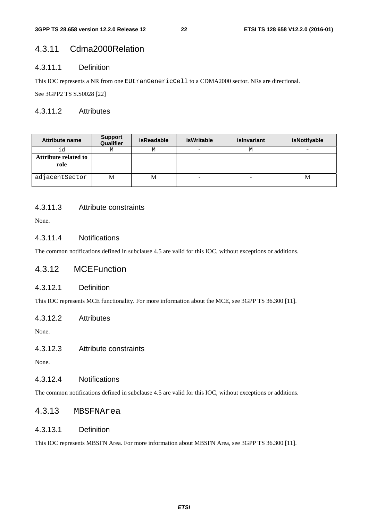### 4.3.11 Cdma2000Relation

#### 4.3.11.1 Definition

This IOC represents a NR from one EUtranGenericCell to a CDMA2000 sector. NRs are directional.

See 3GPP2 TS S.S0028 [22]

#### 4.3.11.2 Attributes

| <b>Attribute name</b>        | <b>Support</b><br>Qualifier | <b>isReadable</b> | isWritable | islnvariant | isNotifyable |
|------------------------------|-----------------------------|-------------------|------------|-------------|--------------|
| id                           | М                           | М                 | -          | М           |              |
| Attribute related to<br>role |                             |                   |            |             |              |
| adjacentSector               | M                           | M                 | -          | ۰           | M            |

#### 4.3.11.3 Attribute constraints

None.

#### 4.3.11.4 Notifications

The common notifications defined in subclause 4.5 are valid for this IOC, without exceptions or additions.

#### 4.3.12 MCEFunction

#### 4.3.12.1 Definition

This IOC represents MCE functionality. For more information about the MCE, see 3GPP TS 36.300 [11].

#### 4.3.12.2 Attributes

None.

4.3.12.3 Attribute constraints

None.

#### 4.3.12.4 Notifications

The common notifications defined in subclause 4.5 are valid for this IOC, without exceptions or additions.

#### 4.3.13 MBSFNArea

#### 4.3.13.1 Definition

This IOC represents MBSFN Area. For more information about MBSFN Area, see 3GPP TS 36.300 [11].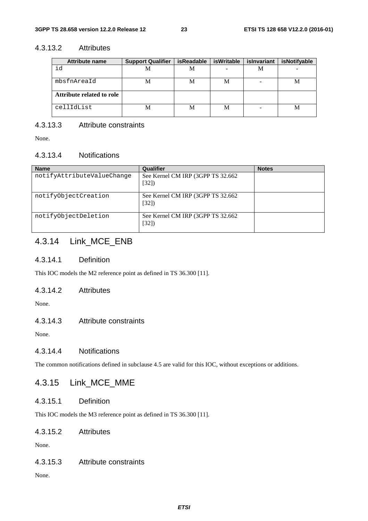#### 4.3.13.2 Attributes

| <b>Attribute name</b>     | <b>Support Qualifier</b> | isReadable | isWritable | islnvariant | isNotifyable |
|---------------------------|--------------------------|------------|------------|-------------|--------------|
| id                        | M                        | M          |            | M           |              |
| mbsfnAreaId               |                          | М          | M          |             | М            |
| Attribute related to role |                          |            |            |             |              |
| cellIdList                |                          | М          | M          |             | M            |

#### 4.3.13.3 Attribute constraints

None.

#### 4.3.13.4 Notifications

| <b>Name</b>                | Qualifier                                  | <b>Notes</b> |
|----------------------------|--------------------------------------------|--------------|
| notifyAttributeValueChange | See Kernel CM IRP (3GPP TS 32.662<br>[32]  |              |
| notifyObjectCreation       | See Kernel CM IRP (3GPP TS 32.662)<br>[32] |              |
| notifyObjectDeletion       | See Kernel CM IRP (3GPP TS 32.662)<br>[32] |              |

### 4.3.14 Link\_MCE\_ENB

#### 4.3.14.1 Definition

This IOC models the M2 reference point as defined in TS 36.300 [11].

#### 4.3.14.2 Attributes

None.

#### 4.3.14.3 Attribute constraints

None.

#### 4.3.14.4 Notifications

The common notifications defined in subclause 4.5 are valid for this IOC, without exceptions or additions.

#### 4.3.15 Link\_MCE\_MME

#### 4.3.15.1 Definition

This IOC models the M3 reference point as defined in TS 36.300 [11].

#### 4.3.15.2 Attributes

None.

#### 4.3.15.3 Attribute constraints

None.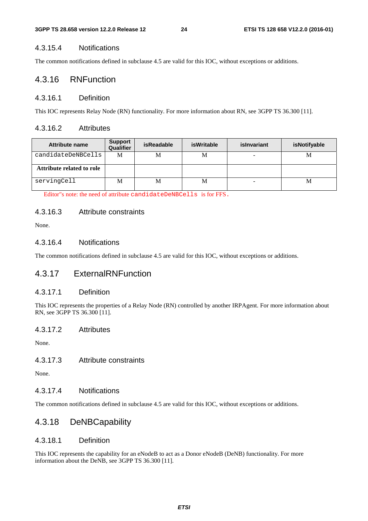#### 4.3.15.4 Notifications

The common notifications defined in subclause 4.5 are valid for this IOC, without exceptions or additions.

#### 4.3.16 RNFunction

#### 4.3.16.1 Definition

This IOC represents Relay Node (RN) functionality. For more information about RN, see 3GPP TS 36.300 [11].

#### 4.3.16.2 Attributes

| Attribute name            | <b>Support</b><br>Qualifier | <b>isReadable</b> | isWritable | islnvariant | isNotifyable |
|---------------------------|-----------------------------|-------------------|------------|-------------|--------------|
| candidateDeNBCells        | M                           | М                 | M          | -           | M            |
| Attribute related to role |                             |                   |            |             |              |
| servingCell               | M                           | M                 | M          | -           | М            |

Editor"s note: the need of attribute candidateDeNBCells is for FFS.

#### 4.3.16.3 Attribute constraints

None.

#### 4.3.16.4 Notifications

The common notifications defined in subclause 4.5 are valid for this IOC, without exceptions or additions.

#### 4.3.17 ExternalRNFunction

#### 4.3.17.1 Definition

This IOC represents the properties of a Relay Node (RN) controlled by another IRPAgent. For more information about RN, see 3GPP TS 36.300 [11].

#### 4.3.17.2 Attributes

None.

#### 4.3.17.3 Attribute constraints

None.

#### 4.3.17.4 Notifications

The common notifications defined in subclause 4.5 are valid for this IOC, without exceptions or additions.

#### 4.3.18 DeNBCapability

#### 4.3.18.1 Definition

This IOC represents the capability for an eNodeB to act as a Donor eNodeB (DeNB) functionality. For more information about the DeNB, see 3GPP TS 36.300 [11].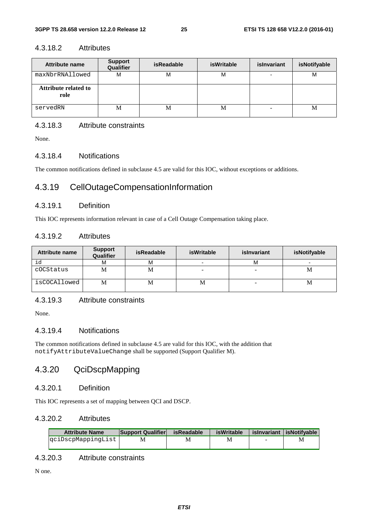#### 4.3.18.2 Attributes

| Attribute name                      | <b>Support</b><br>Qualifier | isReadable | <b>isWritable</b> | islnvariant | isNotifyable |
|-------------------------------------|-----------------------------|------------|-------------------|-------------|--------------|
| maxNbrRNAllowed                     | M                           | М          | М                 |             | M            |
| <b>Attribute related to</b><br>role |                             |            |                   |             |              |
| servedRN                            | M                           | М          | М                 |             | М            |

#### 4.3.18.3 Attribute constraints

None.

#### 4.3.18.4 Notifications

The common notifications defined in subclause 4.5 are valid for this IOC, without exceptions or additions.

#### 4.3.19 CellOutageCompensationInformation

#### 4.3.19.1 Definition

This IOC represents information relevant in case of a Cell Outage Compensation taking place.

#### 4.3.19.2 Attributes

| <b>Attribute name</b> | <b>Support</b><br>Qualifier | <b>isReadable</b> | <b>isWritable</b> | islnvariant | isNotifyable |
|-----------------------|-----------------------------|-------------------|-------------------|-------------|--------------|
| id                    | М                           | м                 |                   | M           |              |
| cOCStatus             | М                           | M                 |                   |             | М            |
| isCOCAllowed          | М                           | М                 | М                 |             | М            |

#### 4.3.19.3 Attribute constraints

None.

#### 4.3.19.4 Notifications

The common notifications defined in subclause 4.5 are valid for this IOC, with the addition that notifyAttributeValueChange shall be supported (Support Qualifier M).

### 4.3.20 QciDscpMapping

#### 4.3.20.1 Definition

This IOC represents a set of mapping between QCI and DSCP.

#### 4.3.20.2 Attributes

| <b>Attribute Name</b> | <b>Support Qualifier</b> | isReadable | <b>isWritable</b> |                          | islnvariant lisNotifvable |
|-----------------------|--------------------------|------------|-------------------|--------------------------|---------------------------|
| qciDscpMappinqList    | М                        |            | M                 | $\overline{\phantom{a}}$ | M                         |
|                       |                          |            |                   |                          |                           |

#### 4.3.20.3 Attribute constraints

N one.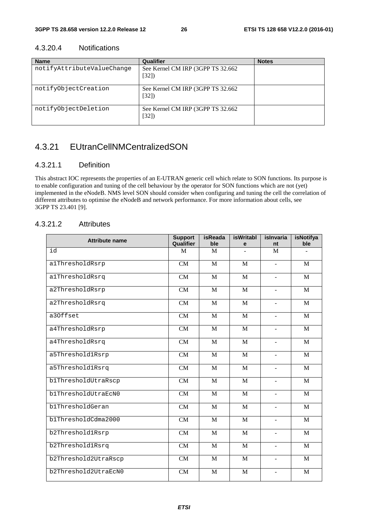| <b>Name</b>                | Qualifier                                  | <b>Notes</b> |
|----------------------------|--------------------------------------------|--------------|
| notifyAttributeValueChange | See Kernel CM IRP (3GPP TS 32.662)<br>[32] |              |
| notifyObjectCreation       | See Kernel CM IRP (3GPP TS 32.662)<br>[32] |              |
| notifyObjectDeletion       | See Kernel CM IRP (3GPP TS 32.662)<br>[32] |              |

#### 4.3.20.4 Notifications

### 4.3.21 EUtranCellNMCentralizedSON

#### 4.3.21.1 Definition

This abstract IOC represents the properties of an E-UTRAN generic cell which relate to SON functions. Its purpose is to enable configuration and tuning of the cell behaviour by the operator for SON functions which are not (yet) implemented in the eNodeB. NMS level SON should consider when configuring and tuning the cell the correlation of different attributes to optimise the eNodeB and network performance. For more information about cells, see 3GPP TS 23.401 [9].

#### 4.3.21.2 Attributes

| <b>Attribute name</b> | <b>Support</b><br>Qualifier | isReada<br>ble | isWritabl<br>e | islnvaria<br>nt          | isNotifya<br>ble |
|-----------------------|-----------------------------|----------------|----------------|--------------------------|------------------|
| id                    | M                           | M              |                | M                        |                  |
| alThresholdRsrp       | CM                          | M              | M              | $\overline{a}$           | M                |
| alThresholdRsrq       | CM                          | M              | $\mathbf{M}$   | $\overline{a}$           | M                |
| a2ThresholdRsrp       | CM                          | M              | M              | $\overline{a}$           | M                |
| a2ThresholdRsrq       | CM                          | M              | $\mathbf{M}$   | $\blacksquare$           | $\mathbf{M}$     |
| a30ffset              | CM                          | M              | M              | $\overline{a}$           | M                |
| a4ThresholdRsrp       | CM                          | M              | M              | $\overline{a}$           | M                |
| a4ThresholdRsrq       | CM                          | $\mathbf{M}$   | $\mathbf{M}$   | $\overline{a}$           | $\mathbf{M}$     |
| a5Threshold1Rsrp      | CM                          | M              | M              | $\overline{\phantom{a}}$ | M                |
| a5Threshold1Rsrq      | CM                          | $\mathbf{M}$   | $\mathbf{M}$   | $\overline{a}$           | $\mathbf{M}$     |
| b1ThresholdUtraRscp   | CM                          | M              | M              | $\sim$                   | M                |
| b1ThresholdUtraEcN0   | CM                          | M              | M              | $\mathbf{r}$             | M                |
| b1ThresholdGeran      | CM                          | M              | M              | $\overline{a}$           | M                |
| b1ThresholdCdma2000   | CM                          | M              | M              | $\overline{\phantom{a}}$ | M                |
| b2Threshold1Rsrp      | CM                          | M              | M              | $\overline{\phantom{a}}$ | M                |
| b2Threshold1Rsrq      | CM                          | M              | M              | $\blacksquare$           | M                |
| b2Threshold2UtraRscp  | CM                          | M              | M              | $\overline{\phantom{a}}$ | M                |
| b2Threshold2UtraEcN0  | <b>CM</b>                   | M              | M              | $\overline{\phantom{a}}$ | M                |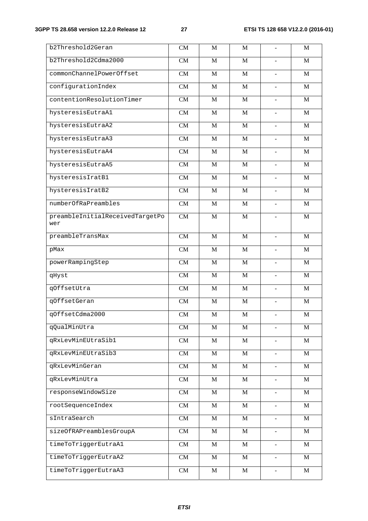| b2Threshold2Geran               | ${\rm CM}$             | $\mathbf M$    | M              | $\blacksquare$           | M           |
|---------------------------------|------------------------|----------------|----------------|--------------------------|-------------|
| b2Threshold2Cdma2000            | CM                     | M              | $\mathbf{M}$   |                          | M           |
| commonChannelPowerOffset        | CM                     | $\mathbf M$    | $\mathbf M$    | $\blacksquare$           | $\mathbf M$ |
| configurationIndex              | CM                     | $\overline{M}$ | $\mathbf{M}$   | $\blacksquare$           | M           |
| contentionResolutionTimer       | CM                     | $\mathbf M$    | $\mathbf M$    | $\blacksquare$           | $\mathbf M$ |
| hysteresisEutraA1               | CM                     | M              | $\mathbf M$    | $\blacksquare$           | M           |
| hysteresisEutraA2               | CM                     | $\mathbf M$    | $\mathbf M$    | $\blacksquare$           | $\mathbf M$ |
| hysteresisEutraA3               | CM                     | $\overline{M}$ | $\mathbf{M}$   | $\blacksquare$           | M           |
| hysteresisEutraA4               | CM                     | $\mathbf M$    | $\mathbf M$    | $\blacksquare$           | $\mathbf M$ |
| hysteresisEutraA5               | CM                     | M              | $\mathbf{M}$   | $\blacksquare$           | M           |
| hysteresisIratB1                | CM                     | $\mathbf M$    | $\mathbf M$    | $\blacksquare$           | $\mathbf M$ |
| hysteresisIratB2                | $\overline{\text{CM}}$ | $\overline{M}$ | $\overline{M}$ |                          | M           |
| numberOfRaPreambles             | CM                     | $\mathbf M$    | $\mathbf M$    | $\overline{\phantom{a}}$ | $\mathbf M$ |
| preambleInitialReceivedTargetPo | $\overline{\text{CM}}$ | $\mathbf M$    | M              |                          | $\mathbf M$ |
| wer                             |                        |                |                |                          |             |
| preambleTransMax                | $\overline{\text{CM}}$ | $\overline{M}$ | $\overline{M}$ | $\blacksquare$           | M           |
| pMax                            | $\overline{\text{CM}}$ | $\overline{M}$ | $\overline{M}$ |                          | M           |
| powerRampingStep                | $\overline{\text{CM}}$ | $\mathbf{M}$   | $\mathbf{M}$   | $\blacksquare$           | M           |
| qHyst                           | $\overline{\text{CM}}$ | M              | $\mathbf{M}$   |                          | M           |
| qOffsetUtra                     | $\overline{\text{CM}}$ | $\mathbf M$    | $\mathbf M$    | $\blacksquare$           | $\mathbf M$ |
| qOffsetGeran                    | $\overline{\text{CM}}$ | $\overline{M}$ | $\mathbf{M}$   |                          | M           |
| qOffsetCdma2000                 | $\overline{\text{CM}}$ | $\mathbf M$    | $\mathbf M$    | $\Box$                   | $\mathbf M$ |
| qQualMinUtra                    | ${\rm CM}$             | $\mathbf M$    | $\mathbf M$    |                          | $\mathbf M$ |
| qRxLevMinEUtraSib1              | $\overline{\text{CM}}$ | $\mathbf M$    | $\mathbf M$    | $\blacksquare$           | $\mathbf M$ |
| qRxLevMinEUtraSib3              | $\overline{\text{CM}}$ | $\overline{M}$ | $\overline{M}$ |                          | $\mathbf M$ |
| qRxLevMinGeran                  | $\overline{\text{CM}}$ | $\overline{M}$ | $\mathbf M$    | $\overline{\phantom{a}}$ | $\mathbf M$ |
| qRxLevMinUtra                   | CM                     | $\overline{M}$ | $\overline{M}$ |                          | $\mathbf M$ |
| responseWindowSize              | $\overline{\text{CM}}$ | $\mathbf{M}$   | $\mathbf M$    | $\frac{1}{2}$            | M           |
| rootSequenceIndex               | $\overline{\text{CM}}$ | $\overline{M}$ | $\mathbf M$    |                          | $\mathbf M$ |
| sIntraSearch                    | $\overline{\text{CM}}$ | $\mathbf M$    | $\mathbf M$    | $\blacksquare$           | $\mathbf M$ |
| sizeOfRAPreamblesGroupA         | CM                     | $\overline{M}$ | $\overline{M}$ |                          | $\mathbf M$ |
| timeToTriggerEutraA1            | CM                     | $\mathbf M$    | $\mathbf M$    | $\overline{\phantom{a}}$ | M           |
| timeToTriggerEutraA2            | CM                     | $\mathbf M$    | $\mathbf M$    |                          | M           |
| timeToTriggerEutraA3            | CM                     | $\mathbf M$    | $\mathbf M$    | $\blacksquare$           | M           |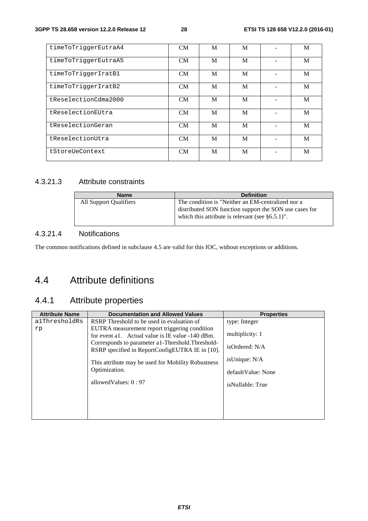| timeToTriggerEutraA4 | CM        | M | M | M |
|----------------------|-----------|---|---|---|
| timeToTriqqerEutraA5 | CM        | M | M | M |
| timeToTriqqerIratB1  | CM        | M | M | M |
| timeToTriqqerIratB2  | CM        | M | M | M |
| tReselectionCdma2000 | CM        | M | M | M |
| tReselectionEUtra    | CM        | M | M | M |
| tReselectionGeran    | CM        | M | M | M |
| tReselectionUtra     | CM        | M | M | M |
| tStoreUeContext      | <b>CM</b> | M | M | M |

#### 4.3.21.3 Attribute constraints

| <b>Name</b>            | <b>Definition</b>                                                                                                                                                   |
|------------------------|---------------------------------------------------------------------------------------------------------------------------------------------------------------------|
| All Support Qualifiers | The condition is "Neither an EM-centralized nor a<br>distributed SON function support the SON use cases for<br>which this attribute is relevant (see $\S 6.5.1$ )". |

#### 4.3.21.4 Notifications

The common notifications defined in subclause 4.5 are valid for this IOC, without exceptions or additions.

### 4.4 Attribute definitions

### 4.4.1 Attribute properties

| <b>Attribute Name</b> | <b>Documentation and Allowed Values</b>                                                                                                                                                                    | <b>Properties</b>                    |
|-----------------------|------------------------------------------------------------------------------------------------------------------------------------------------------------------------------------------------------------|--------------------------------------|
| alThresholdRs         | RSRP Threshold to be used in evaluation of                                                                                                                                                                 | type: Integer                        |
| rp                    | EUTRA measurement report triggering condition<br>for event a1. Actual value is IE value -140 dBm.<br>Corresponds to parameter a 1-Threshold. Threshold-<br>RSRP specified in ReportConfigEUTRA IE in [10]. | multiplicity: 1<br>isOrdered: N/A    |
|                       | This attribute may be used for Mobility Robustness<br>Optimization.                                                                                                                                        | isUnique: N/A<br>default Value: None |
|                       | allowed Values: $0:97$                                                                                                                                                                                     | isNullable: True                     |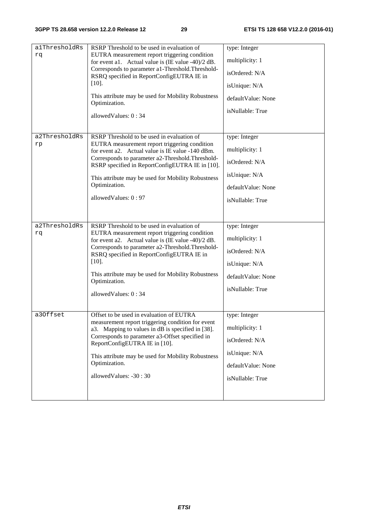| alThresholdRs<br>rq | RSRP Threshold to be used in evaluation of<br>EUTRA measurement report triggering condition<br>for event a1. Actual value is $(IE value -40)/2 dB$ .<br>Corresponds to parameter a1-Threshold. Threshold-<br>RSRQ specified in ReportConfigEUTRA IE in<br>$[10]$ .<br>This attribute may be used for Mobility Robustness<br>Optimization.<br>allowedValues: 0:34 | type: Integer<br>multiplicity: 1<br>isOrdered: N/A<br>isUnique: N/A<br>defaultValue: None<br>isNullable: True |
|---------------------|------------------------------------------------------------------------------------------------------------------------------------------------------------------------------------------------------------------------------------------------------------------------------------------------------------------------------------------------------------------|---------------------------------------------------------------------------------------------------------------|
| a2ThresholdRs<br>rp | RSRP Threshold to be used in evaluation of<br>EUTRA measurement report triggering condition<br>for event a2. Actual value is IE value -140 dBm.<br>Corresponds to parameter a2-Threshold. Threshold-<br>RSRP specified in ReportConfigEUTRA IE in [10].<br>This attribute may be used for Mobility Robustness<br>Optimization.<br>allowedValues: 0:97            | type: Integer<br>multiplicity: 1<br>isOrdered: N/A<br>isUnique: N/A<br>defaultValue: None<br>isNullable: True |
| a2ThresholdRs<br>rq | RSRP Threshold to be used in evaluation of<br>EUTRA measurement report triggering condition<br>for event a2. Actual value is $(IE value -40)/2 dB$ .<br>Corresponds to parameter a2-Threshold. Threshold-<br>RSRQ specified in ReportConfigEUTRA IE in<br>$[10]$ .<br>This attribute may be used for Mobility Robustness<br>Optimization.<br>allowedValues: 0:34 | type: Integer<br>multiplicity: 1<br>isOrdered: N/A<br>isUnique: N/A<br>defaultValue: None<br>isNullable: True |
| a30ffset            | Offset to be used in evaluation of EUTRA<br>measurement report triggering condition for event<br>a3. Mapping to values in dB is specified in [38].<br>Corresponds to parameter a3-Offset specified in<br>ReportConfigEUTRA IE in [10].<br>This attribute may be used for Mobility Robustness<br>Optimization.<br>allowedValues: -30:30                           | type: Integer<br>multiplicity: 1<br>isOrdered: N/A<br>isUnique: N/A<br>defaultValue: None<br>isNullable: True |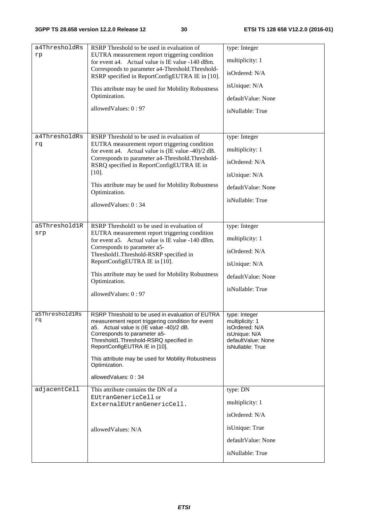| a4ThresholdRs        | RSRP Threshold to be used in evaluation of                                                                                                                                                                                                                                                                                                                 | type: Integer                                                                                                 |
|----------------------|------------------------------------------------------------------------------------------------------------------------------------------------------------------------------------------------------------------------------------------------------------------------------------------------------------------------------------------------------------|---------------------------------------------------------------------------------------------------------------|
| rp                   | EUTRA measurement report triggering condition                                                                                                                                                                                                                                                                                                              | multiplicity: 1                                                                                               |
|                      | for event a4. Actual value is IE value -140 dBm.<br>Corresponds to parameter a4-Threshold. Threshold-                                                                                                                                                                                                                                                      |                                                                                                               |
|                      | RSRP specified in ReportConfigEUTRA IE in [10].                                                                                                                                                                                                                                                                                                            | isOrdered: N/A                                                                                                |
|                      | This attribute may be used for Mobility Robustness                                                                                                                                                                                                                                                                                                         | isUnique: N/A                                                                                                 |
|                      | Optimization.                                                                                                                                                                                                                                                                                                                                              | defaultValue: None                                                                                            |
|                      | allowedValues: 0:97                                                                                                                                                                                                                                                                                                                                        | isNullable: True                                                                                              |
|                      |                                                                                                                                                                                                                                                                                                                                                            |                                                                                                               |
| a4ThresholdRs        | RSRP Threshold to be used in evaluation of                                                                                                                                                                                                                                                                                                                 | type: Integer                                                                                                 |
| rq                   | EUTRA measurement report triggering condition<br>for event a4. Actual value is $(IE value -40)/2 dB$ .                                                                                                                                                                                                                                                     | multiplicity: 1                                                                                               |
|                      | Corresponds to parameter a4-Threshold. Threshold-<br>RSRQ specified in ReportConfigEUTRA IE in                                                                                                                                                                                                                                                             | isOrdered: N/A                                                                                                |
|                      | $[10]$ .                                                                                                                                                                                                                                                                                                                                                   | isUnique: N/A                                                                                                 |
|                      | This attribute may be used for Mobility Robustness                                                                                                                                                                                                                                                                                                         | defaultValue: None                                                                                            |
|                      | Optimization.                                                                                                                                                                                                                                                                                                                                              | isNullable: True                                                                                              |
|                      | allowedValues: 0:34                                                                                                                                                                                                                                                                                                                                        |                                                                                                               |
|                      |                                                                                                                                                                                                                                                                                                                                                            |                                                                                                               |
| a5Threshold1R<br>srp | RSRP Threshold1 to be used in evaluation of<br>EUTRA measurement report triggering condition                                                                                                                                                                                                                                                               | type: Integer                                                                                                 |
|                      | for event a5. Actual value is IE value -140 dBm.                                                                                                                                                                                                                                                                                                           | multiplicity: 1                                                                                               |
|                      | Corresponds to parameter a5-<br>Threshold1.Threshold-RSRP specified in                                                                                                                                                                                                                                                                                     | isOrdered: N/A                                                                                                |
|                      | ReportConfigEUTRA IE in [10].                                                                                                                                                                                                                                                                                                                              | isUnique: N/A                                                                                                 |
|                      | This attribute may be used for Mobility Robustness<br>Optimization.                                                                                                                                                                                                                                                                                        | defaultValue: None                                                                                            |
|                      |                                                                                                                                                                                                                                                                                                                                                            | isNullable: True                                                                                              |
|                      | allowedValues: 0:97                                                                                                                                                                                                                                                                                                                                        |                                                                                                               |
| a5Threshold1Rs<br>rq | RSRP Threshold to be used in evaluation of EUTRA<br>measurement report triggering condition for event<br>a5. Actual value is (IE value -40)/2 dB.<br>Corresponds to parameter a5-<br>Threshold1.Threshold-RSRQ specified in<br>ReportConfigEUTRA IE in [10].<br>This attribute may be used for Mobility Robustness<br>Optimization.<br>allowedValues: 0:34 | type: Integer<br>multiplicity: 1<br>isOrdered: N/A<br>isUnique: N/A<br>defaultValue: None<br>isNullable: True |
| adjacentCell         | This attribute contains the DN of a                                                                                                                                                                                                                                                                                                                        | type: DN                                                                                                      |
|                      | EUtranGenericCell or                                                                                                                                                                                                                                                                                                                                       |                                                                                                               |
|                      | ExternalEUtranGenericCell.                                                                                                                                                                                                                                                                                                                                 | multiplicity: 1                                                                                               |
|                      |                                                                                                                                                                                                                                                                                                                                                            | isOrdered: N/A                                                                                                |
|                      | allowedValues: N/A                                                                                                                                                                                                                                                                                                                                         | isUnique: True                                                                                                |
|                      |                                                                                                                                                                                                                                                                                                                                                            | defaultValue: None                                                                                            |
|                      |                                                                                                                                                                                                                                                                                                                                                            | isNullable: True                                                                                              |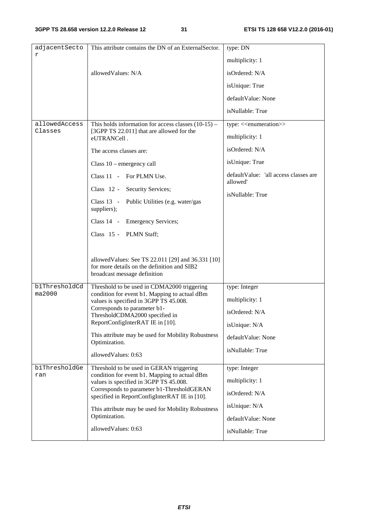| adjacentSecto | This attribute contains the DN of an ExternalSector.                                                                              | type: DN                                           |
|---------------|-----------------------------------------------------------------------------------------------------------------------------------|----------------------------------------------------|
| r             |                                                                                                                                   | multiplicity: 1                                    |
|               | allowedValues: N/A                                                                                                                | isOrdered: N/A                                     |
|               |                                                                                                                                   | isUnique: True                                     |
|               |                                                                                                                                   | defaultValue: None                                 |
|               |                                                                                                                                   | isNullable: True                                   |
| allowedAccess | This holds information for access classes $(10-15)$ –                                                                             | type: < <enumeration>&gt;</enumeration>            |
| Classes       | [3GPP TS 22.011] that are allowed for the<br>eUTRANCell.                                                                          | multiplicity: 1                                    |
|               | The access classes are:                                                                                                           | isOrdered: N/A                                     |
|               | Class $10$ – emergency call                                                                                                       | isUnique: True                                     |
|               | Class 11 - For PLMN Use.                                                                                                          | default Value: 'all access classes are<br>allowed' |
|               | Class 12 - Security Services;                                                                                                     | isNullable: True                                   |
|               | Class 13 - Public Utilities (e.g. water/gas<br>suppliers);                                                                        |                                                    |
|               | Class 14 - Emergency Services;                                                                                                    |                                                    |
|               | Class 15 - PLMN Staff;                                                                                                            |                                                    |
|               |                                                                                                                                   |                                                    |
|               | allowed Values: See TS 22.011 [29] and 36.331 [10]<br>for more details on the definition and SIB2<br>broadcast message definition |                                                    |
| blThresholdCd | Threshold to be used in CDMA2000 triggering                                                                                       | type: Integer                                      |
| ma2000        | condition for event b1. Mapping to actual dBm<br>values is specified in 3GPP TS 45.008.                                           | multiplicity: 1                                    |
|               | Corresponds to parameter b1-<br>ThresholdCDMA2000 specified in                                                                    | isOrdered: N/A                                     |
|               | ReportConfigInterRAT IE in [10].                                                                                                  | isUnique: N/A                                      |
|               | This attribute may be used for Mobility Robustness<br>Optimization.                                                               | defaultValue: None                                 |
|               | allowedValues: 0:63                                                                                                               | isNullable: True                                   |
| b1ThresholdGe |                                                                                                                                   |                                                    |
| ran           | Threshold to be used in GERAN triggering<br>condition for event b1. Mapping to actual dBm                                         | type: Integer                                      |
|               | values is specified in 3GPP TS 45.008.<br>Corresponds to parameter b1-ThresholdGERAN                                              | multiplicity: 1                                    |
|               | specified in ReportConfigInterRAT IE in [10].                                                                                     | isOrdered: N/A                                     |
|               | This attribute may be used for Mobility Robustness<br>Optimization.                                                               | isUnique: N/A                                      |
|               |                                                                                                                                   | defaultValue: None                                 |
|               | allowedValues: 0:63                                                                                                               | isNullable: True                                   |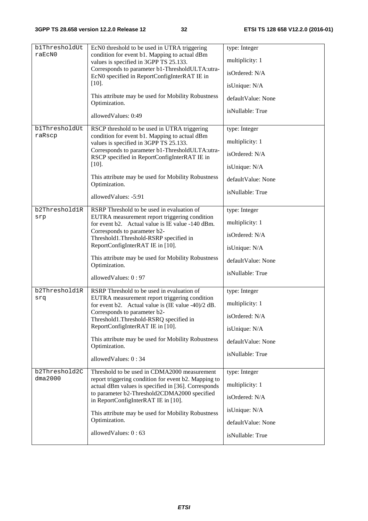| b1ThresholdUt<br>raEcN0 | EcN0 threshold to be used in UTRA triggering<br>condition for event b1. Mapping to actual dBm               | type: Integer      |
|-------------------------|-------------------------------------------------------------------------------------------------------------|--------------------|
|                         | values is specified in 3GPP TS 25.133.                                                                      | multiplicity: 1    |
|                         | Corresponds to parameter b1-ThresholdULTA:utra-<br>EcN0 specified in ReportConfigInterRAT IE in             | isOrdered: N/A     |
|                         | $[10]$ .                                                                                                    | isUnique: N/A      |
|                         | This attribute may be used for Mobility Robustness<br>Optimization.                                         | defaultValue: None |
|                         | allowedValues: 0:49                                                                                         | isNullable: True   |
| b1ThresholdUt           | RSCP threshold to be used in UTRA triggering                                                                | type: Integer      |
| raRscp                  | condition for event b1. Mapping to actual dBm<br>values is specified in 3GPP TS 25.133.                     | multiplicity: 1    |
|                         | Corresponds to parameter b1-ThresholdULTA:utra-<br>RSCP specified in ReportConfigInterRAT IE in             | isOrdered: N/A     |
|                         | $[10]$ .                                                                                                    | isUnique: N/A      |
|                         | This attribute may be used for Mobility Robustness<br>Optimization.                                         | defaultValue: None |
|                         | allowedValues: -5:91                                                                                        | isNullable: True   |
| b2Threshold1R           | RSRP Threshold to be used in evaluation of                                                                  | type: Integer      |
| srp                     | EUTRA measurement report triggering condition<br>for event b2. Actual value is IE value -140 dBm.           | multiplicity: 1    |
|                         | Corresponds to parameter b2-<br>Threshold1.Threshold-RSRP specified in                                      | isOrdered: N/A     |
|                         | ReportConfigInterRAT IE in [10].                                                                            | isUnique: N/A      |
|                         | This attribute may be used for Mobility Robustness<br>Optimization.                                         | defaultValue: None |
|                         | allowedValues: 0:97                                                                                         | isNullable: True   |
| b2Threshold1R           | RSRP Threshold to be used in evaluation of                                                                  | type: Integer      |
| srq                     | EUTRA measurement report triggering condition<br>for event b2. Actual value is $(IE value -40)/2 dB$ .      | multiplicity: 1    |
|                         | Corresponds to parameter b2-<br>Threshold1.Threshold-RSRQ specified in                                      | isOrdered: N/A     |
|                         | ReportConfigInterRAT IE in [10].                                                                            | isUnique: N/A      |
|                         | This attribute may be used for Mobility Robustness<br>Optimization.                                         | defaultValue: None |
|                         | allowedValues: 0:34                                                                                         | isNullable: True   |
| b2Threshold2C           | Threshold to be used in CDMA2000 measurement                                                                | type: Integer      |
| dma2000                 | report triggering condition for event b2. Mapping to<br>actual dBm values is specified in [36]. Corresponds | multiplicity: 1    |
|                         | to parameter b2-Threshold2CDMA2000 specified<br>in ReportConfigInterRAT IE in [10].                         | isOrdered: N/A     |
|                         | This attribute may be used for Mobility Robustness<br>Optimization.                                         | isUnique: N/A      |
|                         |                                                                                                             | defaultValue: None |
|                         | allowedValues: 0:63                                                                                         | isNullable: True   |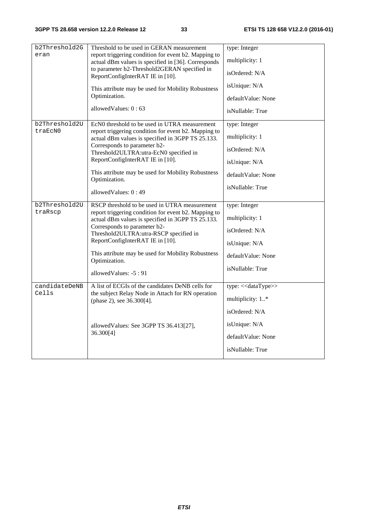| b2Threshold2G | Threshold to be used in GERAN measurement                                                                   | type: Integer       |
|---------------|-------------------------------------------------------------------------------------------------------------|---------------------|
| eran          | report triggering condition for event b2. Mapping to<br>actual dBm values is specified in [36]. Corresponds | multiplicity: 1     |
|               | to parameter b2-Threshold2GERAN specified in<br>ReportConfigInterRAT IE in [10].                            | isOrdered: N/A      |
|               | This attribute may be used for Mobility Robustness                                                          | isUnique: N/A       |
|               | Optimization.                                                                                               | defaultValue: None  |
|               | allowed Values: $0:63$                                                                                      | isNullable: True    |
| b2Threshold2U | EcN0 threshold to be used in UTRA measurement                                                               | type: Integer       |
| traEcN0       | report triggering condition for event b2. Mapping to<br>actual dBm values is specified in 3GPP TS 25.133.   | multiplicity: 1     |
|               | Corresponds to parameter b2-<br>Threshold2ULTRA:utra-EcN0 specified in                                      | isOrdered: N/A      |
|               | ReportConfigInterRAT IE in [10].                                                                            | isUnique: N/A       |
|               | This attribute may be used for Mobility Robustness<br>Optimization.                                         | defaultValue: None  |
|               | allowedValues: 0:49                                                                                         | isNullable: True    |
| b2Threshold2U | RSCP threshold to be used in UTRA measurement                                                               | type: Integer       |
| traRscp       | report triggering condition for event b2. Mapping to<br>actual dBm values is specified in 3GPP TS 25.133.   | multiplicity: 1     |
|               | Corresponds to parameter b2-<br>Threshold2ULTRA:utra-RSCP specified in                                      | isOrdered: N/A      |
|               | ReportConfigInterRAT IE in [10].                                                                            | isUnique: N/A       |
|               | This attribute may be used for Mobility Robustness<br>Optimization.                                         | defaultValue: None  |
|               | allowedValues: -5:91                                                                                        | isNullable: True    |
| candidateDeNB | A list of ECGIs of the candidates DeNB cells for                                                            | type: << dataType>> |
| Cells         | the subject Relay Node in Attach for RN operation<br>(phase 2), see 36.300[4].                              | multiplicity: 1*    |
|               |                                                                                                             | isOrdered: N/A      |
|               | allowedValues: See 3GPP TS 36.413[27],                                                                      | isUnique: N/A       |
|               | 36.300[4]                                                                                                   | defaultValue: None  |
|               |                                                                                                             | isNullable: True    |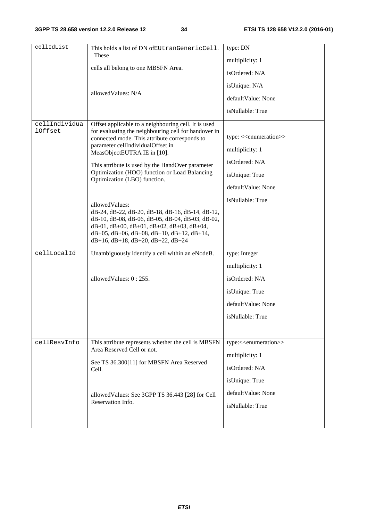| cellIdList                      | This holds a list of DN ofEUtranGenericCell.                                                                                                                                                                                                                                                                                                                                                                                                                                                                                                                                                                                                                                      | type: DN                                                                                                                                      |
|---------------------------------|-----------------------------------------------------------------------------------------------------------------------------------------------------------------------------------------------------------------------------------------------------------------------------------------------------------------------------------------------------------------------------------------------------------------------------------------------------------------------------------------------------------------------------------------------------------------------------------------------------------------------------------------------------------------------------------|-----------------------------------------------------------------------------------------------------------------------------------------------|
|                                 | These                                                                                                                                                                                                                                                                                                                                                                                                                                                                                                                                                                                                                                                                             | multiplicity: 1                                                                                                                               |
|                                 | cells all belong to one MBSFN Area.                                                                                                                                                                                                                                                                                                                                                                                                                                                                                                                                                                                                                                               | isOrdered: N/A                                                                                                                                |
|                                 |                                                                                                                                                                                                                                                                                                                                                                                                                                                                                                                                                                                                                                                                                   | isUnique: N/A                                                                                                                                 |
|                                 | allowedValues: N/A                                                                                                                                                                                                                                                                                                                                                                                                                                                                                                                                                                                                                                                                | defaultValue: None                                                                                                                            |
|                                 |                                                                                                                                                                                                                                                                                                                                                                                                                                                                                                                                                                                                                                                                                   | isNullable: True                                                                                                                              |
| cellIndividua<br><b>lOffset</b> | Offset applicable to a neighbouring cell. It is used<br>for evaluating the neighbouring cell for handover in<br>connected mode. This attribute corresponds to<br>parameter cellIndividualOffset in<br>MeasObjectEUTRA IE in [10].<br>This attribute is used by the HandOver parameter<br>Optimization (HOO) function or Load Balancing<br>Optimization (LBO) function.<br>allowedValues:<br>dB-24, dB-22, dB-20, dB-18, dB-16, dB-14, dB-12,<br>dB-10, dB-08, dB-06, dB-05, dB-04, dB-03, dB-02,<br>$dB-01$ , $dB+00$ , $dB+01$ , $dB+02$ , $dB+03$ , $dB+04$ ,<br>$dB+05$ , $dB+06$ , $dB+08$ , $dB+10$ , $dB+12$ , $dB+14$ ,<br>$dB+16$ , $dB+18$ , $dB+20$ , $dB+22$ , $dB+24$ | type: < <enumeration>&gt;<br/>multiplicity: 1<br/>isOrdered: N/A<br/>isUnique: True<br/>defaultValue: None<br/>isNullable: True</enumeration> |
| cellLocalId                     | Unambiguously identify a cell within an eNodeB.                                                                                                                                                                                                                                                                                                                                                                                                                                                                                                                                                                                                                                   | type: Integer                                                                                                                                 |
|                                 |                                                                                                                                                                                                                                                                                                                                                                                                                                                                                                                                                                                                                                                                                   | multiplicity: 1                                                                                                                               |
|                                 | allowed Values: 0:255.                                                                                                                                                                                                                                                                                                                                                                                                                                                                                                                                                                                                                                                            | isOrdered: N/A                                                                                                                                |
|                                 |                                                                                                                                                                                                                                                                                                                                                                                                                                                                                                                                                                                                                                                                                   | isUnique: True                                                                                                                                |
|                                 |                                                                                                                                                                                                                                                                                                                                                                                                                                                                                                                                                                                                                                                                                   | defaultValue: None                                                                                                                            |
|                                 |                                                                                                                                                                                                                                                                                                                                                                                                                                                                                                                                                                                                                                                                                   | isNullable: True                                                                                                                              |
|                                 |                                                                                                                                                                                                                                                                                                                                                                                                                                                                                                                                                                                                                                                                                   |                                                                                                                                               |
| cellResvInfo                    | This attribute represents whether the cell is MBSFN<br>Area Reserved Cell or not.                                                                                                                                                                                                                                                                                                                                                                                                                                                                                                                                                                                                 | type:< <enumeration>&gt;</enumeration>                                                                                                        |
|                                 | See TS 36.300[11] for MBSFN Area Reserved                                                                                                                                                                                                                                                                                                                                                                                                                                                                                                                                                                                                                                         | multiplicity: 1                                                                                                                               |
|                                 | Cell.                                                                                                                                                                                                                                                                                                                                                                                                                                                                                                                                                                                                                                                                             | isOrdered: N/A                                                                                                                                |
|                                 |                                                                                                                                                                                                                                                                                                                                                                                                                                                                                                                                                                                                                                                                                   | isUnique: True                                                                                                                                |
|                                 | allowed Values: See 3GPP TS 36.443 [28] for Cell<br>Reservation Info.                                                                                                                                                                                                                                                                                                                                                                                                                                                                                                                                                                                                             | defaultValue: None                                                                                                                            |
|                                 |                                                                                                                                                                                                                                                                                                                                                                                                                                                                                                                                                                                                                                                                                   | isNullable: True                                                                                                                              |
|                                 |                                                                                                                                                                                                                                                                                                                                                                                                                                                                                                                                                                                                                                                                                   |                                                                                                                                               |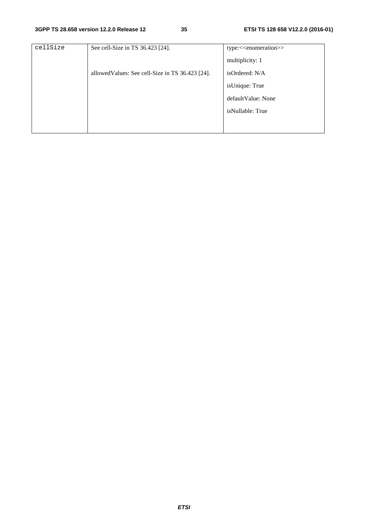| cellSize | See cell-Size in TS 36.423 [24].                 | type:< <enumeration>&gt;</enumeration> |
|----------|--------------------------------------------------|----------------------------------------|
|          |                                                  | multiplicity: 1                        |
|          | allowed Values: See cell-Size in TS 36.423 [24]. | isOrdered: N/A                         |
|          |                                                  | isUnique: True                         |
|          |                                                  | default Value: None                    |
|          |                                                  | isNullable: True                       |
|          |                                                  |                                        |
|          |                                                  |                                        |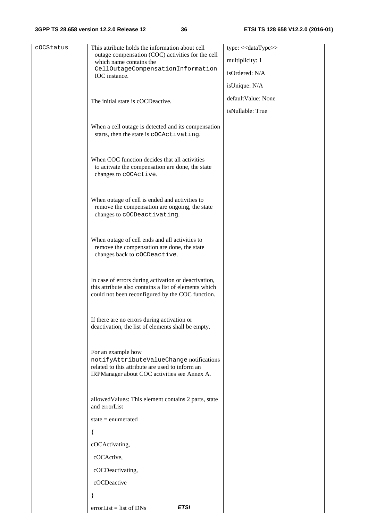#### **3GPP TS 28.658 version 12.2.0 Release 12 36 ETSI TS 128 658 V12.2.0 (2016-01)**

| cOCStatus | This attribute holds the information about cell                                                                                                                   | type: << dataType>> |
|-----------|-------------------------------------------------------------------------------------------------------------------------------------------------------------------|---------------------|
|           | outage compensation (COC) activities for the cell<br>which name contains the                                                                                      | multiplicity: 1     |
|           | CellOutageCompensationInformation<br>IOC instance.                                                                                                                | isOrdered: N/A      |
|           |                                                                                                                                                                   | isUnique: N/A       |
|           | The initial state is cOCDeactive.                                                                                                                                 | defaultValue: None  |
|           |                                                                                                                                                                   | isNullable: True    |
|           | When a cell outage is detected and its compensation<br>starts, then the state is cOCActivating.                                                                   |                     |
|           | When COC function decides that all activities<br>to acitvate the compensation are done, the state<br>changes to cOCActive.                                        |                     |
|           | When outage of cell is ended and activities to<br>remove the compensation are ongoing, the state<br>changes to cOCDeactivating.                                   |                     |
|           | When outage of cell ends and all activities to<br>remove the compensation are done, the state<br>changes back to cOCDeactive.                                     |                     |
|           | In case of errors during activation or deactivation,<br>this attribute also contains a list of elements which<br>could not been reconfigured by the COC function. |                     |
|           | If there are no errors during activation or<br>deactivation, the list of elements shall be empty.                                                                 |                     |
|           | For an example how<br>notifyAttributeValueChange notifications<br>related to this attribute are used to inform an<br>IRPManager about COC activities see Annex A. |                     |
|           | allowed Values: This element contains 2 parts, state<br>and errorList                                                                                             |                     |
|           | state $=$ enumerated                                                                                                                                              |                     |
|           |                                                                                                                                                                   |                     |
|           | cOCActivating,                                                                                                                                                    |                     |
|           | cOCActive,                                                                                                                                                        |                     |
|           | cOCDeactivating,                                                                                                                                                  |                     |
|           | cOCDeactive                                                                                                                                                       |                     |
|           |                                                                                                                                                                   |                     |
|           | <b>ETSI</b><br>$errorList = list of DNS$                                                                                                                          |                     |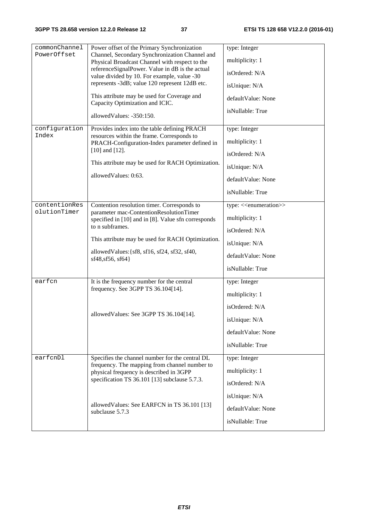| commonChannel                                                 | Power offset of the Primary Synchronization                                                                       | type: Integer                           |
|---------------------------------------------------------------|-------------------------------------------------------------------------------------------------------------------|-----------------------------------------|
| PowerOffset<br>Channel, Secondary Synchronization Channel and | multiplicity: 1                                                                                                   |                                         |
|                                                               | Physical Broadcast Channel with respect to the<br>referenceSignalPower. Value in dB is the actual                 |                                         |
|                                                               | value divided by 10. For example, value -30                                                                       | isOrdered: N/A                          |
|                                                               | represents -3dB; value 120 represent 12dB etc.                                                                    | isUnique: N/A                           |
|                                                               | This attribute may be used for Coverage and<br>Capacity Optimization and ICIC.                                    | defaultValue: None                      |
|                                                               | allowedValues: -350:150.                                                                                          | isNullable: True                        |
| configuration                                                 | Provides index into the table defining PRACH                                                                      | type: Integer                           |
| Index                                                         | resources within the frame. Corresponds to<br>PRACH-Configuration-Index parameter defined in                      | multiplicity: 1                         |
|                                                               | $[10]$ and $[12]$ .                                                                                               | isOrdered: N/A                          |
|                                                               | This attribute may be used for RACH Optimization.                                                                 | isUnique: N/A                           |
|                                                               | allowedValues: 0:63.                                                                                              |                                         |
|                                                               |                                                                                                                   | defaultValue: None                      |
|                                                               |                                                                                                                   | isNullable: True                        |
| contentionRes                                                 | Contention resolution timer. Corresponds to                                                                       | type: < <enumeration>&gt;</enumeration> |
| olutionTimer                                                  | parameter mac-ContentionResolutionTimer<br>specified in [10] and in [8]. Value sfn corresponds<br>to n subframes. | multiplicity: 1                         |
|                                                               |                                                                                                                   | isOrdered: N/A                          |
|                                                               | This attribute may be used for RACH Optimization.                                                                 | isUnique: N/A                           |
|                                                               | allowedValues: {sf8, sf16, sf24, sf32, sf40,<br>sf48, sf56, sf64}                                                 | defaultValue: None                      |
|                                                               |                                                                                                                   | isNullable: True                        |
| earfcn                                                        | It is the frequency number for the central                                                                        | type: Integer                           |
|                                                               | frequency. See 3GPP TS 36.104[14].                                                                                | multiplicity: 1                         |
|                                                               |                                                                                                                   | isOrdered: N/A                          |
|                                                               | allowedValues: See 3GPP TS 36.104[14].                                                                            | isUnique: N/A                           |
|                                                               |                                                                                                                   | defaultValue: None                      |
|                                                               |                                                                                                                   | isNullable: True                        |
| earfcnDl                                                      | Specifies the channel number for the central DL                                                                   | type: Integer                           |
|                                                               | frequency. The mapping from channel number to                                                                     | multiplicity: 1                         |
|                                                               | physical frequency is described in 3GPP<br>specification TS 36.101 [13] subclause 5.7.3.                          | isOrdered: N/A                          |
|                                                               |                                                                                                                   |                                         |
|                                                               | allowed Values: See EARFCN in TS 36.101 [13]                                                                      | isUnique: N/A                           |
|                                                               | subclause 5.7.3                                                                                                   | defaultValue: None                      |
|                                                               |                                                                                                                   | isNullable: True                        |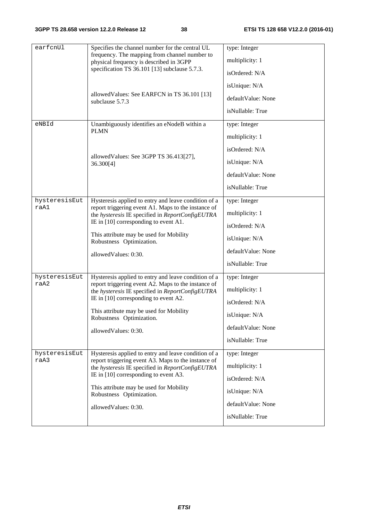| earfcnUl      |                                                                                                         |                    |
|---------------|---------------------------------------------------------------------------------------------------------|--------------------|
|               | Specifies the channel number for the central UL<br>frequency. The mapping from channel number to        | type: Integer      |
|               | physical frequency is described in 3GPP                                                                 | multiplicity: 1    |
|               | specification TS 36.101 [13] subclause 5.7.3.                                                           | isOrdered: N/A     |
|               |                                                                                                         | isUnique: N/A      |
|               | allowed Values: See EARFCN in TS 36.101 [13]<br>subclause 5.7.3                                         | defaultValue: None |
|               |                                                                                                         | isNullable: True   |
| eNBId         | Unambiguously identifies an eNodeB within a                                                             | type: Integer      |
|               | <b>PLMN</b>                                                                                             | multiplicity: 1    |
|               |                                                                                                         | isOrdered: N/A     |
|               | allowed Values: See 3GPP TS 36.413[27],<br>36.300[4]                                                    | isUnique: N/A      |
|               |                                                                                                         | defaultValue: None |
|               |                                                                                                         | isNullable: True   |
| hysteresisEut | Hysteresis applied to entry and leave condition of a                                                    | type: Integer      |
| raA1          | report triggering event A1. Maps to the instance of<br>the hysteresis IE specified in ReportConfigEUTRA | multiplicity: 1    |
|               | IE in $[10]$ corresponding to event A1.                                                                 | isOrdered: N/A     |
|               | This attribute may be used for Mobility<br>Robustness Optimization.                                     | isUnique: N/A      |
|               | allowedValues: 0:30.                                                                                    | defaultValue: None |
|               |                                                                                                         | isNullable: True   |
| hysteresisEut | Hysteresis applied to entry and leave condition of a                                                    | type: Integer      |
| raA2          | report triggering event A2. Maps to the instance of<br>the hysteresis IE specified in ReportConfigEUTRA | multiplicity: 1    |
|               | IE in $[10]$ corresponding to event A2.                                                                 | isOrdered: N/A     |
|               | This attribute may be used for Mobility<br>Robustness Optimization.                                     | isUnique: N/A      |
|               | allowedValues: 0:30.                                                                                    | defaultValue: None |
|               |                                                                                                         | isNullable: True   |
| hysteresisEut | Hysteresis applied to entry and leave condition of a                                                    | type: Integer      |
| raA3          | report triggering event A3. Maps to the instance of<br>the hysteresis IE specified in ReportConfigEUTRA | multiplicity: 1    |
|               | IE in [10] corresponding to event A3.                                                                   | isOrdered: N/A     |
|               | This attribute may be used for Mobility<br>Robustness Optimization.                                     | isUnique: N/A      |
|               | allowedValues: 0:30.                                                                                    | defaultValue: None |
|               |                                                                                                         | isNullable: True   |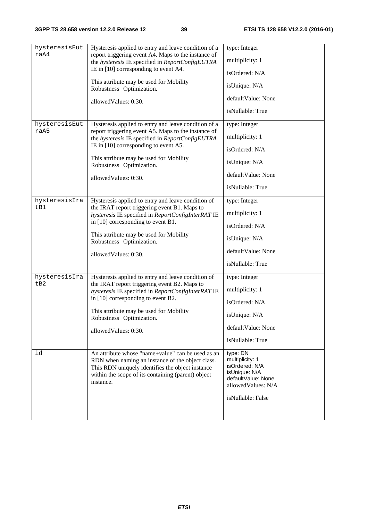| hysteresisEut | Hysteresis applied to entry and leave condition of a                                                                                                                                                                         | type: Integer                                                                                                                   |
|---------------|------------------------------------------------------------------------------------------------------------------------------------------------------------------------------------------------------------------------------|---------------------------------------------------------------------------------------------------------------------------------|
| raA4          | report triggering event A4. Maps to the instance of                                                                                                                                                                          |                                                                                                                                 |
|               | the hysteresis IE specified in ReportConfigEUTRA                                                                                                                                                                             | multiplicity: 1                                                                                                                 |
|               | IE in [10] corresponding to event A4.                                                                                                                                                                                        | isOrdered: N/A                                                                                                                  |
|               | This attribute may be used for Mobility<br>Robustness Optimization.                                                                                                                                                          | isUnique: N/A                                                                                                                   |
|               | allowedValues: 0:30.                                                                                                                                                                                                         | defaultValue: None                                                                                                              |
|               |                                                                                                                                                                                                                              | isNullable: True                                                                                                                |
| hysteresisEut | Hysteresis applied to entry and leave condition of a                                                                                                                                                                         | type: Integer                                                                                                                   |
| raA5          | report triggering event A5. Maps to the instance of<br>the hysteresis IE specified in ReportConfigEUTRA                                                                                                                      | multiplicity: 1                                                                                                                 |
|               | IE in $[10]$ corresponding to event A5.                                                                                                                                                                                      | isOrdered: N/A                                                                                                                  |
|               | This attribute may be used for Mobility<br>Robustness Optimization.                                                                                                                                                          | isUnique: N/A                                                                                                                   |
|               | allowedValues: 0:30.                                                                                                                                                                                                         | defaultValue: None                                                                                                              |
|               |                                                                                                                                                                                                                              | isNullable: True                                                                                                                |
| hysteresisIra | Hysteresis applied to entry and leave condition of                                                                                                                                                                           | type: Integer                                                                                                                   |
| tB1           | the IRAT report triggering event B1. Maps to<br>hysteresis IE specified in ReportConfigInterRAT IE                                                                                                                           | multiplicity: 1                                                                                                                 |
|               | in [10] corresponding to event B1.                                                                                                                                                                                           | isOrdered: N/A                                                                                                                  |
|               | This attribute may be used for Mobility<br>Robustness Optimization.                                                                                                                                                          | isUnique: N/A                                                                                                                   |
|               | allowedValues: 0:30.                                                                                                                                                                                                         | defaultValue: None                                                                                                              |
|               |                                                                                                                                                                                                                              | isNullable: True                                                                                                                |
| hysteresisIra | Hysteresis applied to entry and leave condition of                                                                                                                                                                           | type: Integer                                                                                                                   |
| tB2           | the IRAT report triggering event B2. Maps to<br>hysteresis IE specified in ReportConfigInterRAT IE                                                                                                                           | multiplicity: 1                                                                                                                 |
|               | in [10] corresponding to event B2.                                                                                                                                                                                           | isOrdered: N/A                                                                                                                  |
|               | This attribute may be used for Mobility<br>Robustness Optimization.                                                                                                                                                          | isUnique: N/A                                                                                                                   |
|               | allowedValues: 0:30.                                                                                                                                                                                                         | defaultValue: None                                                                                                              |
|               |                                                                                                                                                                                                                              | isNullable: True                                                                                                                |
| id            | An attribute whose "name+value" can be used as an<br>RDN when naming an instance of the object class.<br>This RDN uniquely identifies the object instance<br>within the scope of its containing (parent) object<br>instance. | type: DN<br>multiplicity: 1<br>isOrdered: N/A<br>isUnique: N/A<br>defaultValue: None<br>allowedValues: N/A<br>isNullable: False |
|               |                                                                                                                                                                                                                              |                                                                                                                                 |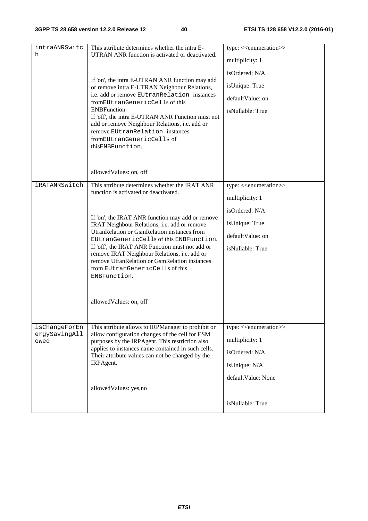| intraANRSwitc<br>h                     | This attribute determines whether the intra E-<br>UTRAN ANR function is activated or deactivated.<br>If 'on', the intra E-UTRAN ANR function may add<br>or remove intra E-UTRAN Neighbour Relations,<br>i.e. add or remove EUtranRelation instances<br>fromEUtranGenericCells of this<br><b>ENBFunction.</b><br>If 'off', the intra E-UTRAN ANR Function must not<br>add or remove Neighbour Relations, i.e. add or<br>remove EUtranRelation instances<br>fromEUtranGenericCells of<br>thisENBFunction.                | type: << <enumeration>&gt;<br/>multiplicity: 1<br/>isOrdered: N/A<br/>isUnique: True<br/>defaultValue: on<br/>isNullable: True</enumeration> |
|----------------------------------------|------------------------------------------------------------------------------------------------------------------------------------------------------------------------------------------------------------------------------------------------------------------------------------------------------------------------------------------------------------------------------------------------------------------------------------------------------------------------------------------------------------------------|----------------------------------------------------------------------------------------------------------------------------------------------|
|                                        | allowedValues: on, off                                                                                                                                                                                                                                                                                                                                                                                                                                                                                                 |                                                                                                                                              |
| iRATANRSwitch                          | This attribute determines whether the IRAT ANR<br>function is activated or deactivated.<br>If 'on', the IRAT ANR function may add or remove<br>IRAT Neighbour Relations, i.e. add or remove<br>UtranRelation or GsmRelation instances from<br>EUtranGenericCells of this ENBFunction.<br>If 'off', the IRAT ANR Function must not add or<br>remove IRAT Neighbour Relations, i.e. add or<br>remove UtranRelation or GsmRelation instances<br>from EUtranGenericCells of this<br>ENBFunction.<br>allowedValues: on, off | type: < <enumeration>&gt;<br/>multiplicity: 1<br/>isOrdered: N/A<br/>isUnique: True<br/>defaultValue: on<br/>isNullable: True</enumeration>  |
| isChangeForEn<br>ergySavingAll<br>owed | This attribute allows to IRPManager to prohibit or<br>allow configuration changes of the cell for ESM<br>purposes by the IRPAgent. This restriction also<br>applies to instances name contained in such cells.<br>Their attribute values can not be changed by the<br>IRPAgent.<br>allowedValues: yes,no                                                                                                                                                                                                               | type: < <enumeration>&gt;<br/>multiplicity: 1<br/>isOrdered: N/A<br/>isUnique: N/A<br/>defaultValue: None<br/>isNullable: True</enumeration> |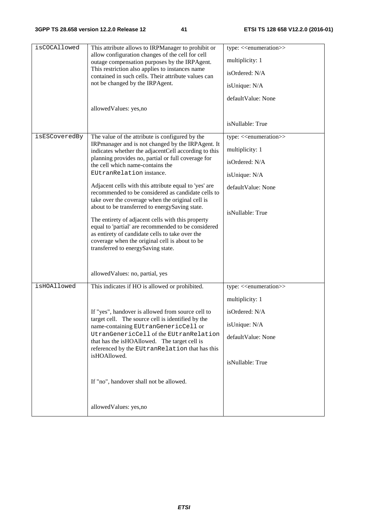| isCOCAllowed  | This attribute allows to IRPManager to prohibit or<br>allow configuration changes of the cell for cell<br>outage compensation purposes by the IRPAgent.<br>This restriction also applies to instances name<br>contained in such cells. Their attribute values can<br>not be changed by the IRPAgent.<br>allowedValues: yes,no                                                                                                                                                                                                                                                                                                                                                                                                                                  | type: < <enumeration>&gt;<br/>multiplicity: 1<br/>isOrdered: N/A<br/>isUnique: N/A<br/>defaultValue: None<br/>isNullable: True</enumeration> |
|---------------|----------------------------------------------------------------------------------------------------------------------------------------------------------------------------------------------------------------------------------------------------------------------------------------------------------------------------------------------------------------------------------------------------------------------------------------------------------------------------------------------------------------------------------------------------------------------------------------------------------------------------------------------------------------------------------------------------------------------------------------------------------------|----------------------------------------------------------------------------------------------------------------------------------------------|
| isESCoveredBy | The value of the attribute is configured by the<br>IRPmanager and is not changed by the IRPAgent. It<br>indicates whether the adjacentCell according to this<br>planning provides no, partial or full coverage for<br>the cell which name-contains the<br>EUtranRelation instance.<br>Adjacent cells with this attribute equal to 'yes' are<br>recommended to be considered as candidate cells to<br>take over the coverage when the original cell is<br>about to be transferred to energySaving state.<br>The entirety of adjacent cells with this property<br>equal to 'partial' are recommended to be considered<br>as entirety of candidate cells to take over the<br>coverage when the original cell is about to be<br>transferred to energySaving state. | type: < <enumeration>&gt;<br/>multiplicity: 1<br/>isOrdered: N/A<br/>isUnique: N/A<br/>defaultValue: None<br/>isNullable: True</enumeration> |
|               | allowed Values: no, partial, yes                                                                                                                                                                                                                                                                                                                                                                                                                                                                                                                                                                                                                                                                                                                               |                                                                                                                                              |
| isHOAllowed   | This indicates if HO is allowed or prohibited.<br>If "yes", handover is allowed from source cell to<br>target cell. The source cell is identified by the<br>name-containing EUtranGenericCell or<br>UtranGenericCell of the EUtranRelation<br>that has the isHOAllowed. The target cell is<br>referenced by the EUtranRelation that has this<br>isHOAllowed.<br>If "no", handover shall not be allowed.                                                                                                                                                                                                                                                                                                                                                        | type: < <enumeration>&gt;<br/>multiplicity: 1<br/>isOrdered: N/A<br/>isUnique: N/A<br/>defaultValue: None<br/>isNullable: True</enumeration> |
|               | allowedValues: yes,no                                                                                                                                                                                                                                                                                                                                                                                                                                                                                                                                                                                                                                                                                                                                          |                                                                                                                                              |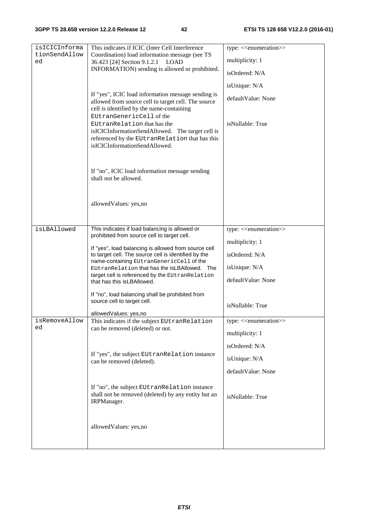| isICICInforma<br>tionSendAllow | This indicates if ICIC (Inter Cell Interference<br>Coordination) load information message (see TS                                                                                              | type: < <enumeration>&gt;</enumeration> |
|--------------------------------|------------------------------------------------------------------------------------------------------------------------------------------------------------------------------------------------|-----------------------------------------|
| ed                             | 36.423 [24] Section 9.1.2.1 LOAD                                                                                                                                                               | multiplicity: 1                         |
|                                | INFORMATION) sending is allowed or prohibited.                                                                                                                                                 | isOrdered: N/A                          |
|                                |                                                                                                                                                                                                | isUnique: N/A                           |
|                                | If "yes", ICIC load information message sending is<br>allowed from source cell to target cell. The source<br>cell is identified by the name-containing                                         | defaultValue: None                      |
|                                | EUtranGenericCell of the<br>EUtranRelation that has the<br>isICICInformationSendAllowed. The target cell is<br>referenced by the EUtranRelation that has this<br>isICICInformationSendAllowed. | isNullable: True                        |
|                                | If "no", ICIC load information message sending<br>shall not be allowed.                                                                                                                        |                                         |
|                                | allowedValues: yes,no                                                                                                                                                                          |                                         |
| isLBAllowed                    | This indicates if load balancing is allowed or                                                                                                                                                 | type: < <enumeration>&gt;</enumeration> |
|                                | prohibited from source cell to target cell.                                                                                                                                                    | multiplicity: 1                         |
|                                | If "yes", load balancing is allowed from source cell<br>to target cell. The source cell is identified by the                                                                                   | isOrdered: N/A                          |
|                                | name-containing EUtranGenericCell of the<br>EUtranRelation that has the isLBAllowed. The                                                                                                       | isUnique: N/A                           |
|                                | target cell is referenced by the EUtranRelation<br>that has this is LBAllowed.                                                                                                                 | defaultValue: None                      |
|                                | If "no", load balancing shall be prohibited from<br>source cell to target cell.                                                                                                                | isNullable: True                        |
|                                | allowedValues: yes,no                                                                                                                                                                          |                                         |
| isRemoveAllow<br>ed            | This indicates if the subject EUtranRelation<br>can be removed (deleted) or not.                                                                                                               | type: < <enumeration>&gt;</enumeration> |
|                                |                                                                                                                                                                                                | multiplicity: 1                         |
|                                |                                                                                                                                                                                                | isOrdered: N/A                          |
|                                | If "yes", the subject EUtranRelation instance<br>can be removed (deleted).                                                                                                                     | isUnique: N/A                           |
|                                |                                                                                                                                                                                                | defaultValue: None                      |
|                                | If "no", the subject EUtranRelation instance<br>shall not be removed (deleted) by any entity but an<br>IRPManager.                                                                             | isNullable: True                        |
|                                | allowedValues: yes,no                                                                                                                                                                          |                                         |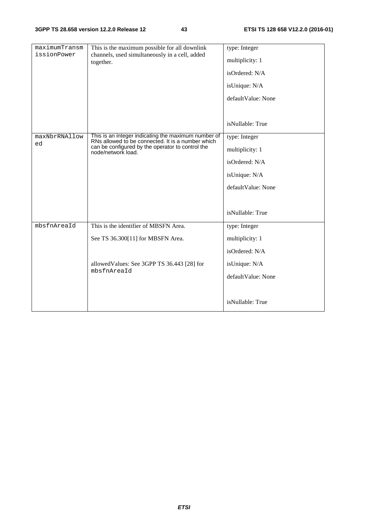| maximumTransm<br>issionPower | This is the maximum possible for all downlink<br>channels, used simultaneously in a cell, added<br>together.                                                                       | type: Integer<br>multiplicity: 1<br>isOrdered: N/A<br>isUnique: N/A<br>defaultValue: None |
|------------------------------|------------------------------------------------------------------------------------------------------------------------------------------------------------------------------------|-------------------------------------------------------------------------------------------|
|                              |                                                                                                                                                                                    | isNullable: True                                                                          |
| maxNbrRNAllow<br>ed          | This is an integer indicating the maximum number of<br>RNs allowed to be connected. It is a number which<br>can be configured by the operator to control the<br>node/network load. | type: Integer<br>multiplicity: 1                                                          |
|                              |                                                                                                                                                                                    | isOrdered: N/A                                                                            |
|                              |                                                                                                                                                                                    | isUnique: N/A                                                                             |
|                              |                                                                                                                                                                                    | defaultValue: None                                                                        |
|                              |                                                                                                                                                                                    |                                                                                           |
|                              |                                                                                                                                                                                    | isNullable: True                                                                          |
| mbsfnAreaId                  | This is the identifier of MBSFN Area.                                                                                                                                              | type: Integer                                                                             |
|                              | See TS 36.300[11] for MBSFN Area.                                                                                                                                                  | multiplicity: 1                                                                           |
|                              |                                                                                                                                                                                    | isOrdered: N/A                                                                            |
|                              | allowed Values: See 3GPP TS 36.443 [28] for                                                                                                                                        | isUnique: N/A                                                                             |
|                              | mbsfnAreaId                                                                                                                                                                        | defaultValue: None                                                                        |
|                              |                                                                                                                                                                                    |                                                                                           |
|                              |                                                                                                                                                                                    | isNullable: True                                                                          |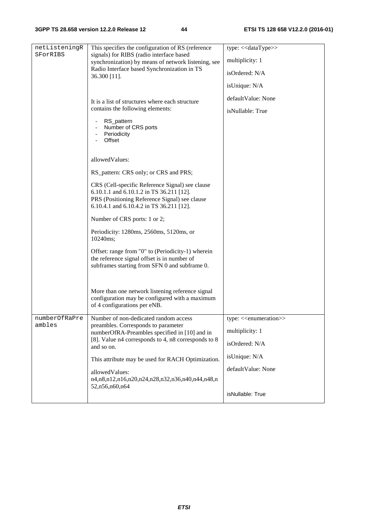| netListeningR<br>SForRIBS | This specifies the configuration of RS (reference<br>signals) for RIBS (radio interface based<br>synchronization) by means of network listening, see<br>Radio Interface based Synchronization in TS | type: << dataType>><br>multiplicity: 1 |
|---------------------------|-----------------------------------------------------------------------------------------------------------------------------------------------------------------------------------------------------|----------------------------------------|
|                           | 36.300 [11].                                                                                                                                                                                        | isOrdered: N/A                         |
|                           |                                                                                                                                                                                                     | isUnique: N/A                          |
|                           | It is a list of structures where each structure                                                                                                                                                     | defaultValue: None                     |
|                           | contains the following elements:                                                                                                                                                                    | isNullable: True                       |
|                           | RS_pattern<br>Number of CRS ports<br>Periodicity<br>Offset                                                                                                                                          |                                        |
|                           | allowedValues:                                                                                                                                                                                      |                                        |
|                           | RS_pattern: CRS only; or CRS and PRS;                                                                                                                                                               |                                        |
|                           | CRS (Cell-specific Reference Signal) see clause<br>6.10.1.1 and 6.10.1.2 in TS 36.211 [12].<br>PRS (Positioning Reference Signal) see clause<br>6.10.4.1 and 6.10.4.2 in TS 36.211 [12].            |                                        |
|                           | Number of CRS ports: 1 or 2;                                                                                                                                                                        |                                        |
|                           | Periodicity: 1280ms, 2560ms, 5120ms, or<br>10240ms;                                                                                                                                                 |                                        |
|                           | Offset: range from "0" to (Periodicity-1) wherein<br>the reference signal offset is in number of<br>subframes starting from SFN 0 and subframe 0.                                                   |                                        |
|                           | More than one network listening reference signal<br>configuration may be configured with a maximum<br>of 4 configurations per eNB.                                                                  |                                        |
| numberOfRaPre<br>ambles   | Number of non-dedicated random access<br>preambles. Corresponds to parameter                                                                                                                        | $type: \leq$ enumeration $\geq$        |
|                           | numberOfRA-Preambles specified in [10] and in                                                                                                                                                       | multiplicity: 1                        |
|                           | [8]. Value n4 corresponds to 4, n8 corresponds to 8<br>and so on.                                                                                                                                   | isOrdered: N/A                         |
|                           | This attribute may be used for RACH Optimization.                                                                                                                                                   | isUnique: N/A                          |
|                           | allowedValues:                                                                                                                                                                                      | defaultValue: None                     |
|                           | n4,n8,n12,n16,n20,n24,n28,n32,n36,n40,n44,n48,n<br>52,n56,n60,n64                                                                                                                                   |                                        |
|                           |                                                                                                                                                                                                     | isNullable: True                       |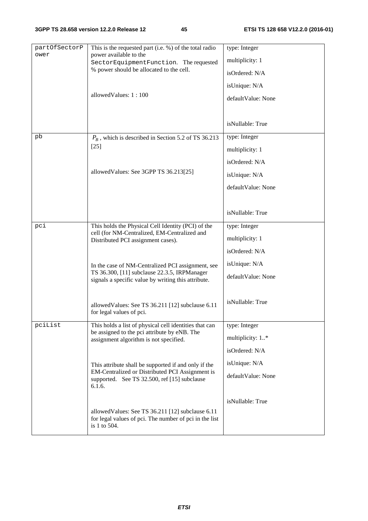| partOfSectorP<br>ower | This is the requested part (i.e. %) of the total radio<br>power available to the<br>SectorEquipmentFunction. The requested<br>% power should be allocated to the cell. | type: Integer<br>multiplicity: 1<br>isOrdered: N/A  |
|-----------------------|------------------------------------------------------------------------------------------------------------------------------------------------------------------------|-----------------------------------------------------|
|                       | allowedValues: 1:100                                                                                                                                                   | isUnique: N/A<br>defaultValue: None                 |
|                       |                                                                                                                                                                        | isNullable: True                                    |
| pb                    | $P_R$ , which is described in Section 5.2 of TS 36.213<br>$[25]$                                                                                                       | type: Integer<br>multiplicity: 1<br>isOrdered: N/A  |
|                       | allowed Values: See 3GPP TS 36.213[25]                                                                                                                                 | isUnique: N/A<br>defaultValue: None                 |
|                       |                                                                                                                                                                        | isNullable: True                                    |
| pci                   | This holds the Physical Cell Identity (PCI) of the<br>cell (for NM-Centralized, EM-Centralized and<br>Distributed PCI assignment cases).                               | type: Integer<br>multiplicity: 1<br>isOrdered: N/A  |
|                       | In the case of NM-Centralized PCI assignment, see<br>TS 36.300, [11] subclause 22.3.5, IRPManager<br>signals a specific value by writing this attribute.               | isUnique: N/A<br>defaultValue: None                 |
|                       | allowed Values: See TS 36.211 [12] subclause 6.11<br>for legal values of pci.                                                                                          | isNullable: True                                    |
| pciList               | This holds a list of physical cell identities that can<br>be assigned to the pci attribute by eNB. The<br>assignment algorithm is not specified.                       | type: Integer<br>multiplicity: 1*<br>isOrdered: N/A |
|                       | This attribute shall be supported if and only if the<br>EM-Centralized or Distributed PCI Assignment is<br>supported. See TS 32.500, ref [15] subclause<br>6.1.6.      | isUnique: N/A<br>defaultValue: None                 |
|                       | allowed Values: See TS 36.211 [12] subclause 6.11<br>for legal values of pci. The number of pci in the list<br>is 1 to $504$ .                                         | isNullable: True                                    |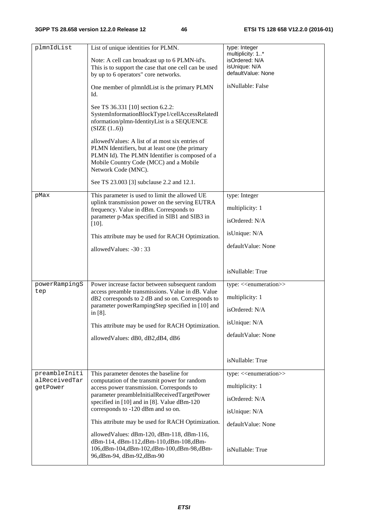| plmnIdList                                 | List of unique identities for PLMN.<br>Note: A cell can broadcast up to 6 PLMN-id's.<br>This is to support the case that one cell can be used<br>by up to 6 operators" core networks.<br>One member of plmnIdList is the primary PLMN<br>Id.<br>See TS 36.331 [10] section 6.2.2:<br>SystemInformationBlockType1/cellAccessRelatedI<br>nformation/plmn-IdentityList is a SEQUENCE<br>(SIZE (16))<br>allowed Values: A list of at most six entries of<br>PLMN Identifiers, but at least one (the primary<br>PLMN Id). The PLMN Identifier is composed of a<br>Mobile Country Code (MCC) and a Mobile<br>Network Code (MNC).<br>See TS 23.003 [3] subclause 2.2 and 12.1. | type: Integer<br>multiplicity: 1*<br>isOrdered: N/A<br>isUnique: N/A<br>defaultValue: None<br>isNullable: False         |
|--------------------------------------------|-------------------------------------------------------------------------------------------------------------------------------------------------------------------------------------------------------------------------------------------------------------------------------------------------------------------------------------------------------------------------------------------------------------------------------------------------------------------------------------------------------------------------------------------------------------------------------------------------------------------------------------------------------------------------|-------------------------------------------------------------------------------------------------------------------------|
| pMax                                       | This parameter is used to limit the allowed UE<br>uplink transmission power on the serving EUTRA<br>frequency. Value in dBm. Corresponds to<br>parameter p-Max specified in SIB1 and SIB3 in<br>$[10].$<br>This attribute may be used for RACH Optimization.<br>allowedValues: -30:33                                                                                                                                                                                                                                                                                                                                                                                   | type: Integer<br>multiplicity: 1<br>isOrdered: N/A<br>isUnique: N/A<br>defaultValue: None                               |
|                                            |                                                                                                                                                                                                                                                                                                                                                                                                                                                                                                                                                                                                                                                                         | isNullable: True                                                                                                        |
| powerRampingS<br>tep                       | Power increase factor between subsequent random<br>access preamble transmissions. Value in dB. Value<br>dB2 corresponds to 2 dB and so on. Corresponds to<br>parameter powerRampingStep specified in [10] and<br>in [8].<br>This attribute may be used for RACH Optimization.<br>allowed Values: dB0, dB2, dB4, dB6                                                                                                                                                                                                                                                                                                                                                     | type: < <enumeration>&gt;<br/>multiplicity: 1<br/>isOrdered: N/A<br/>isUnique: N/A<br/>defaultValue: None</enumeration> |
|                                            |                                                                                                                                                                                                                                                                                                                                                                                                                                                                                                                                                                                                                                                                         | isNullable: True                                                                                                        |
| preambleIniti<br>alReceivedTar<br>getPower | This parameter denotes the baseline for<br>computation of the transmit power for random<br>access power transmission. Corresponds to<br>parameter preambleInitialReceivedTargetPower<br>specified in [10] and in [8]. Value dBm-120<br>corresponds to -120 dBm and so on.<br>This attribute may be used for RACH Optimization.<br>allowed Values: dBm-120, dBm-118, dBm-116,                                                                                                                                                                                                                                                                                            | type: < <enumeration>&gt;<br/>multiplicity: 1<br/>isOrdered: N/A<br/>isUnique: N/A<br/>defaultValue: None</enumeration> |
|                                            | dBm-114, dBm-112, dBm-110, dBm-108, dBm-<br>106,dBm-104,dBm-102,dBm-100,dBm-98,dBm-<br>96,dBm-94, dBm-92,dBm-90                                                                                                                                                                                                                                                                                                                                                                                                                                                                                                                                                         | isNullable: True                                                                                                        |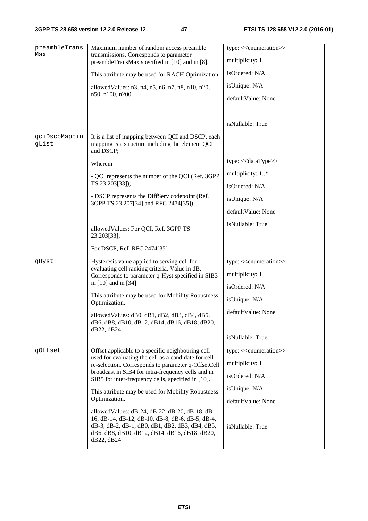| preambleTrans<br>Max   | Maximum number of random access preamble<br>transmissions. Corresponds to parameter                                                                                                                                   | type: < <enumeration>&gt;</enumeration> |
|------------------------|-----------------------------------------------------------------------------------------------------------------------------------------------------------------------------------------------------------------------|-----------------------------------------|
|                        | preambleTransMax specified in [10] and in [8].                                                                                                                                                                        | multiplicity: 1                         |
|                        | This attribute may be used for RACH Optimization.                                                                                                                                                                     | isOrdered: N/A                          |
|                        | allowed Values: n3, n4, n5, n6, n7, n8, n10, n20,                                                                                                                                                                     | isUnique: N/A                           |
|                        | n50, n100, n200                                                                                                                                                                                                       | defaultValue: None                      |
|                        |                                                                                                                                                                                                                       |                                         |
|                        |                                                                                                                                                                                                                       | isNullable: True                        |
| qciDscpMappin<br>gList | It is a list of mapping between QCI and DSCP, each<br>mapping is a structure including the element QCI<br>and DSCP;                                                                                                   |                                         |
|                        | Wherein                                                                                                                                                                                                               | type: << dataType>>                     |
|                        | - QCI represents the number of the QCI (Ref. 3GPP                                                                                                                                                                     | multiplicity: 1*                        |
|                        | TS 23.203[33]);                                                                                                                                                                                                       | isOrdered: N/A                          |
|                        | - DSCP represents the DiffServ codepoint (Ref.<br>3GPP TS 23.207[34] and RFC 2474[35]).                                                                                                                               | isUnique: N/A                           |
|                        |                                                                                                                                                                                                                       | defaultValue: None                      |
|                        | allowed Values: For QCI, Ref. 3GPP TS                                                                                                                                                                                 | isNullable: True                        |
|                        | 23.203[33];                                                                                                                                                                                                           |                                         |
|                        | For DSCP, Ref. RFC 2474[35]                                                                                                                                                                                           |                                         |
| qHyst                  | Hysteresis value applied to serving cell for<br>evaluating cell ranking criteria. Value in dB.                                                                                                                        | type: < <enumeration>&gt;</enumeration> |
|                        | Corresponds to parameter q-Hyst specified in SIB3                                                                                                                                                                     | multiplicity: 1                         |
|                        | in [10] and in [34].                                                                                                                                                                                                  | isOrdered: N/A                          |
|                        | This attribute may be used for Mobility Robustness<br>Optimization.                                                                                                                                                   | isUnique: N/A                           |
|                        | allowed Values: dB0, dB1, dB2, dB3, dB4, dB5,<br>dB6, dB8, dB10, dB12, dB14, dB16, dB18, dB20,                                                                                                                        | defaultValue: None                      |
|                        | dB22, dB24                                                                                                                                                                                                            | isNullable: True                        |
| qOffset                | Offset applicable to a specific neighbouring cell                                                                                                                                                                     | type: < <enumeration>&gt;</enumeration> |
|                        | used for evaluating the cell as a candidate for cell<br>re-selection. Corresponds to parameter q-OffsetCell                                                                                                           | multiplicity: 1                         |
|                        | broadcast in SIB4 for intra-frequency cells and in<br>SIB5 for inter-frequency cells, specified in [10].                                                                                                              | isOrdered: N/A                          |
|                        | This attribute may be used for Mobility Robustness                                                                                                                                                                    | isUnique: N/A                           |
|                        | Optimization.                                                                                                                                                                                                         | defaultValue: None                      |
|                        | allowed Values: dB-24, dB-22, dB-20, dB-18, dB-<br>16, dB-14, dB-12, dB-10, dB-8, dB-6, dB-5, dB-4,<br>dB-3, dB-2, dB-1, dB0, dB1, dB2, dB3, dB4, dB5,<br>dB6, dB8, dB10, dB12, dB14, dB16, dB18, dB20,<br>dB22, dB24 | isNullable: True                        |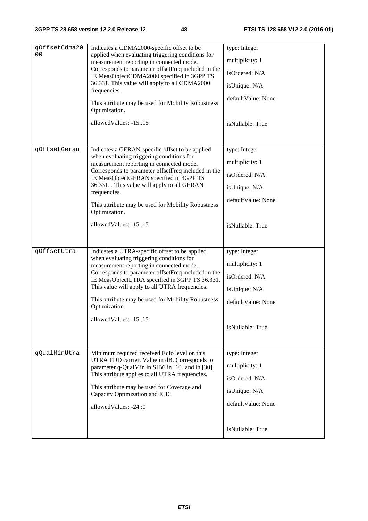| qOffsetCdma20<br>0 <sub>0</sub> | Indicates a CDMA2000-specific offset to be<br>applied when evaluating triggering conditions for<br>measurement reporting in connected mode.<br>Corresponds to parameter offsetFreq included in the<br>IE MeasObjectCDMA2000 specified in 3GPP TS<br>36.331. This value will apply to all CDMA2000<br>frequencies.<br>This attribute may be used for Mobility Robustness<br>Optimization.<br>allowedValues: -1515 | type: Integer<br>multiplicity: 1<br>isOrdered: N/A<br>isUnique: N/A<br>defaultValue: None<br>isNullable: True |
|---------------------------------|------------------------------------------------------------------------------------------------------------------------------------------------------------------------------------------------------------------------------------------------------------------------------------------------------------------------------------------------------------------------------------------------------------------|---------------------------------------------------------------------------------------------------------------|
| qOffsetGeran                    | Indicates a GERAN-specific offset to be applied<br>when evaluating triggering conditions for<br>measurement reporting in connected mode.<br>Corresponds to parameter offsetFreq included in the<br>IE MeasObjectGERAN specified in 3GPP TS<br>36.331. This value will apply to all GERAN<br>frequencies.<br>This attribute may be used for Mobility Robustness<br>Optimization.<br>allowed Values: -1515         | type: Integer<br>multiplicity: 1<br>isOrdered: N/A<br>isUnique: N/A<br>defaultValue: None<br>isNullable: True |
| qOffsetUtra                     | Indicates a UTRA-specific offset to be applied<br>when evaluating triggering conditions for<br>measurement reporting in connected mode.<br>Corresponds to parameter offsetFreq included in the<br>IE MeasObjectUTRA specified in 3GPP TS 36.331.<br>This value will apply to all UTRA frequencies.<br>This attribute may be used for Mobility Robustness<br>Optimization.<br>allowedValues: -1515                | type: Integer<br>multiplicity: 1<br>isOrdered: N/A<br>isUnique: N/A<br>defaultValue: None<br>isNullable: True |
| qQualMinUtra                    | Minimum required received EcIo level on this<br>UTRA FDD carrier. Value in dB. Corresponds to<br>parameter q-QualMin in SIB6 in [10] and in [30].<br>This attribute applies to all UTRA frequencies.<br>This attribute may be used for Coverage and<br>Capacity Optimization and ICIC<br>allowedValues: -24:0                                                                                                    | type: Integer<br>multiplicity: 1<br>isOrdered: N/A<br>isUnique: N/A<br>defaultValue: None<br>isNullable: True |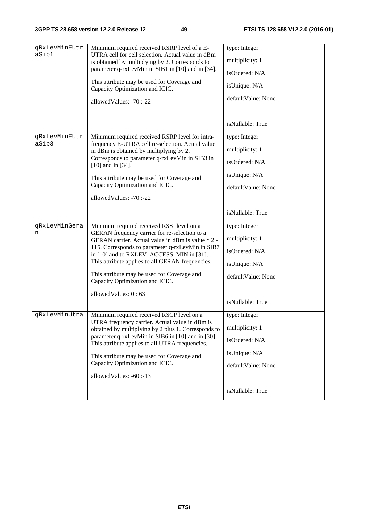| qRxLevMinEUtr<br>aSib1 | Minimum required received RSRP level of a E-<br>UTRA cell for cell selection. Actual value in dBm     | type: Integer      |
|------------------------|-------------------------------------------------------------------------------------------------------|--------------------|
|                        | is obtained by multiplying by 2. Corresponds to                                                       | multiplicity: 1    |
|                        | parameter q-rxLevMin in SIB1 in [10] and in [34].                                                     | isOrdered: N/A     |
|                        | This attribute may be used for Coverage and<br>Capacity Optimization and ICIC.                        | isUnique: N/A      |
|                        | allowedValues: -70:-22                                                                                | defaultValue: None |
|                        |                                                                                                       |                    |
|                        |                                                                                                       | isNullable: True   |
| qRxLevMinEUtr          | Minimum required received RSRP level for intra-                                                       | type: Integer      |
| aSib3                  | frequency E-UTRA cell re-selection. Actual value<br>in dBm is obtained by multiplying by 2.           | multiplicity: 1    |
|                        | Corresponds to parameter q-rxLevMin in SIB3 in<br>$[10]$ and in $[34]$ .                              | isOrdered: N/A     |
|                        | This attribute may be used for Coverage and                                                           | isUnique: N/A      |
|                        | Capacity Optimization and ICIC.                                                                       | defaultValue: None |
|                        | allowedValues: -70:-22                                                                                |                    |
|                        |                                                                                                       | isNullable: True   |
| qRxLevMinGera          | Minimum required received RSSI level on a                                                             | type: Integer      |
| n                      | GERAN frequency carrier for re-selection to a<br>GERAN carrier. Actual value in dBm is value * 2 -    | multiplicity: 1    |
|                        | 115. Corresponds to parameter q-rxLevMin in SIB7<br>in [10] and to RXLEV_ACCESS_MIN in [31].          | isOrdered: N/A     |
|                        | This attribute applies to all GERAN frequencies.                                                      | isUnique: N/A      |
|                        | This attribute may be used for Coverage and<br>Capacity Optimization and ICIC.                        | defaultValue: None |
|                        |                                                                                                       |                    |
|                        | allowedValues: 0:63                                                                                   | isNullable: True   |
| qRxLevMinUtra          | Minimum required received RSCP level on a                                                             | type: Integer      |
|                        | UTRA frequency carrier. Actual value in dBm is<br>obtained by multiplying by 2 plus 1. Corresponds to | multiplicity: 1    |
|                        | parameter q-rxLevMin in SIB6 in [10] and in [30].                                                     | isOrdered: N/A     |
|                        | This attribute applies to all UTRA frequencies.                                                       |                    |
|                        | This attribute may be used for Coverage and<br>Capacity Optimization and ICIC.                        | isUnique: N/A      |
|                        | allowedValues: -60:-13                                                                                | defaultValue: None |
|                        |                                                                                                       |                    |
|                        |                                                                                                       | isNullable: True   |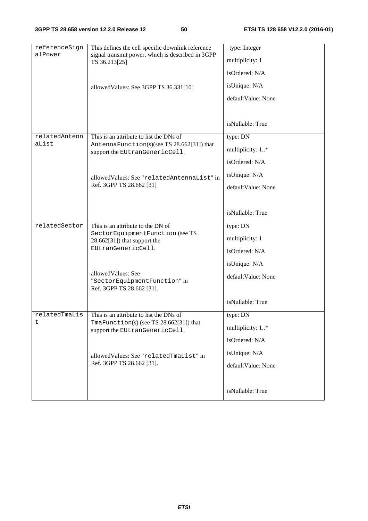| referenceSign          | This defines the cell specific downlink reference                                     | type: Integer      |
|------------------------|---------------------------------------------------------------------------------------|--------------------|
| alPower                | signal transmit power, which is described in 3GPP<br>TS 36.213[25]                    | multiplicity: 1    |
|                        |                                                                                       | isOrdered: N/A     |
|                        | allowed Values: See 3GPP TS 36.331[10]                                                | isUnique: N/A      |
|                        |                                                                                       | defaultValue: None |
|                        |                                                                                       |                    |
|                        |                                                                                       | isNullable: True   |
| relatedAntenn<br>aList | This is an attribute to list the DNs of<br>AntennaFunction(s)(see TS 28.662[31]) that | type: DN           |
|                        | support the EUtranGenericCell.                                                        | multiplicity: 1*   |
|                        |                                                                                       | isOrdered: N/A     |
|                        | allowedValues: See "relatedAntennaList" in                                            | isUnique: N/A      |
|                        | Ref. 3GPP TS 28.662 [31]                                                              | defaultValue: None |
|                        |                                                                                       |                    |
|                        |                                                                                       | isNullable: True   |
| relatedSector          | This is an attribute to the DN of                                                     | type: DN           |
|                        | SectorEquipmentFunction (see TS<br>$28.662[31]$ ) that support the                    | multiplicity: 1    |
|                        | EUtranGenericCell.                                                                    | isOrdered: N/A     |
|                        |                                                                                       | isUnique: N/A      |
|                        | allowed Values: See                                                                   | defaultValue: None |
|                        | "SectorEquipmentFunction" in<br>Ref. 3GPP TS 28.662 [31].                             |                    |
|                        |                                                                                       | isNullable: True   |
| relatedTmaLis          | This is an attribute to list the DNs of                                               | type: DN           |
| t                      | TmaFunction(s) (see TS $28.662[31]$ ) that<br>support the EUtranGenericCell.          | multiplicity: 1*   |
|                        |                                                                                       | isOrdered: N/A     |
|                        | allowedValues: See "relatedTmaList" in<br>Ref. 3GPP TS 28.662 [31].                   | isUnique: N/A      |
|                        |                                                                                       | defaultValue: None |
|                        |                                                                                       |                    |
|                        |                                                                                       | isNullable: True   |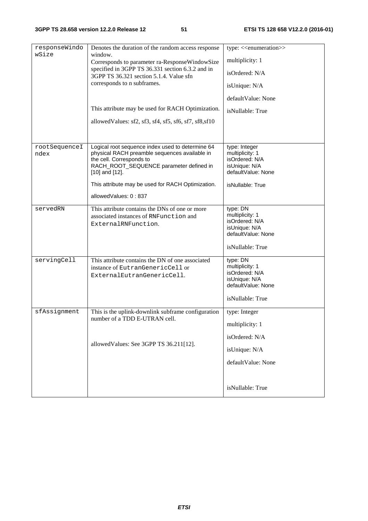| responseWindo<br>wSize | Denotes the duration of the random access response<br>window.                                                                                                                                   | type: < <enumeration>&gt;</enumeration>                                                                  |
|------------------------|-------------------------------------------------------------------------------------------------------------------------------------------------------------------------------------------------|----------------------------------------------------------------------------------------------------------|
|                        | Corresponds to parameter ra-ResponseWindowSize                                                                                                                                                  | multiplicity: 1                                                                                          |
|                        | specified in 3GPP TS 36.331 section 6.3.2 and in<br>3GPP TS 36.321 section 5.1.4. Value sfn                                                                                                     | isOrdered: N/A                                                                                           |
|                        | corresponds to n subframes.                                                                                                                                                                     | isUnique: N/A                                                                                            |
|                        |                                                                                                                                                                                                 | defaultValue: None                                                                                       |
|                        | This attribute may be used for RACH Optimization.                                                                                                                                               | isNullable: True                                                                                         |
|                        | allowed Values: sf2, sf3, sf4, sf5, sf6, sf7, sf8, sf10                                                                                                                                         |                                                                                                          |
|                        |                                                                                                                                                                                                 |                                                                                                          |
| rootSequenceI<br>ndex  | Logical root sequence index used to determine 64<br>physical RACH preamble sequences available in<br>the cell. Corresponds to<br>RACH_ROOT_SEQUENCE parameter defined in<br>$[10]$ and $[12]$ . | type: Integer<br>multiplicity: 1<br>isOrdered: N/A<br>isUnique: N/A<br>defaultValue: None                |
|                        | This attribute may be used for RACH Optimization.                                                                                                                                               | isNullable: True                                                                                         |
|                        | allowedValues: 0:837                                                                                                                                                                            |                                                                                                          |
| servedRN               | This attribute contains the DNs of one or more<br>associated instances of RNFunction and<br>ExternalRNFunction.                                                                                 | type: DN<br>multiplicity: 1<br>isOrdered: N/A<br>isUnique: N/A<br>defaultValue: None<br>isNullable: True |
| servingCell            | This attribute contains the DN of one associated<br>instance of EutranGenericCell or<br>ExternalEutranGenericCell.                                                                              | type: DN<br>multiplicity: 1<br>isOrdered: N/A<br>isUnique: N/A<br>defaultValue: None<br>isNullable: True |
| sfAssignment           | This is the uplink-downlink subframe configuration<br>number of a TDD E-UTRAN cell.                                                                                                             | type: Integer                                                                                            |
|                        |                                                                                                                                                                                                 | multiplicity: 1                                                                                          |
|                        |                                                                                                                                                                                                 | isOrdered: N/A                                                                                           |
|                        | allowedValues: See 3GPP TS 36.211[12].                                                                                                                                                          | isUnique: N/A                                                                                            |
|                        |                                                                                                                                                                                                 | defaultValue: None                                                                                       |
|                        |                                                                                                                                                                                                 | isNullable: True                                                                                         |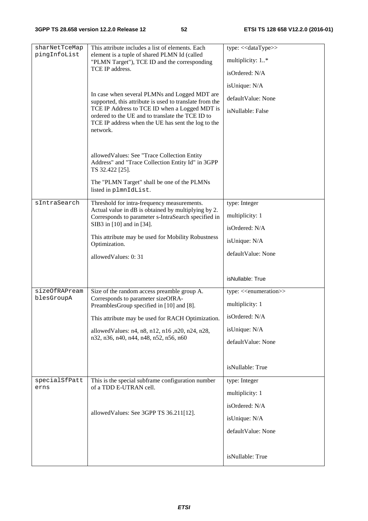| sharNetTceMap<br>pingInfoList | This attribute includes a list of elements. Each<br>element is a tuple of shared PLMN Id (called<br>"PLMN Target"), TCE ID and the corresponding<br>TCE IP address.<br>In case when several PLMNs and Logged MDT are<br>supported, this attribute is used to translate from the<br>TCE IP Address to TCE ID when a Logged MDT is<br>ordered to the UE and to translate the TCE ID to<br>TCE IP address when the UE has sent the log to the<br>network.<br>allowed Values: See "Trace Collection Entity<br>Address" and "Trace Collection Entity Id" in 3GPP<br>TS 32.422 [25].<br>The "PLMN Target" shall be one of the PLMNs<br>listed in plmnIdList. | type: << dataType>><br>multiplicity: 1*<br>isOrdered: N/A<br>isUnique: N/A<br>defaultValue: None<br>isNullable: False                        |
|-------------------------------|--------------------------------------------------------------------------------------------------------------------------------------------------------------------------------------------------------------------------------------------------------------------------------------------------------------------------------------------------------------------------------------------------------------------------------------------------------------------------------------------------------------------------------------------------------------------------------------------------------------------------------------------------------|----------------------------------------------------------------------------------------------------------------------------------------------|
| sIntraSearch                  | Threshold for intra-frequency measurements.<br>Actual value in dB is obtained by multiplying by 2.<br>Corresponds to parameter s-IntraSearch specified in<br>SIB3 in [10] and in [34].<br>This attribute may be used for Mobility Robustness<br>Optimization.<br>allowedValues: 0:31                                                                                                                                                                                                                                                                                                                                                                   | type: Integer<br>multiplicity: 1<br>isOrdered: N/A<br>isUnique: N/A<br>defaultValue: None<br>isNullable: True                                |
| sizeOfRAPream<br>blesGroupA   | Size of the random access preamble group A.<br>Corresponds to parameter sizeOfRA-<br>PreamblesGroup specified in [10] and [8].<br>This attribute may be used for RACH Optimization.<br>allowed Values: n4, n8, n12, n16, n20, n24, n28,<br>n32, n36, n40, n44, n48, n52, n56, n60                                                                                                                                                                                                                                                                                                                                                                      | type: < <enumeration>&gt;<br/>multiplicity: 1<br/>isOrdered: N/A<br/>isUnique: N/A<br/>defaultValue: None<br/>isNullable: True</enumeration> |
| specialSfPatt<br>erns         | This is the special subframe configuration number<br>of a TDD E-UTRAN cell.<br>allowedValues: See 3GPP TS 36.211[12].                                                                                                                                                                                                                                                                                                                                                                                                                                                                                                                                  | type: Integer<br>multiplicity: 1<br>isOrdered: N/A<br>isUnique: N/A<br>defaultValue: None<br>isNullable: True                                |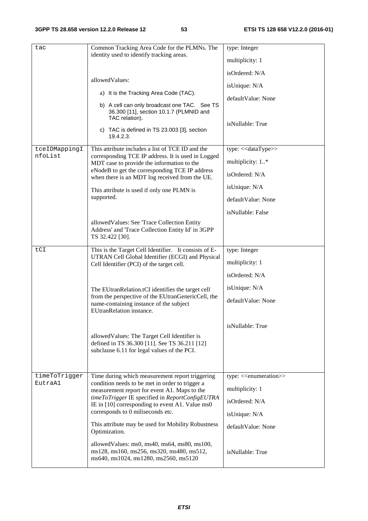| tac                      | Common Tracking Area Code for the PLMNs. The<br>identity used to identify tracking areas.<br>allowedValues:<br>a) It is the Tracking Area Code (TAC).<br>b) A cell can only broadcast one TAC. See TS<br>36.300 [11], section 10.1.7 (PLMNID and<br>TAC relation).<br>c) TAC is defined in TS 23.003 [3], section<br>19.4.2.3.                                                                                                                                                                               | type: Integer<br>multiplicity: 1<br>isOrdered: N/A<br>isUnique: N/A<br>defaultValue: None<br>isNullable: True                                |
|--------------------------|--------------------------------------------------------------------------------------------------------------------------------------------------------------------------------------------------------------------------------------------------------------------------------------------------------------------------------------------------------------------------------------------------------------------------------------------------------------------------------------------------------------|----------------------------------------------------------------------------------------------------------------------------------------------|
| tceIDMappingI<br>nfoList | This attribute includes a list of TCE ID and the<br>corresponding TCE IP address. It is used in Logged<br>MDT case to provide the information to the<br>eNodeB to get the corresponding TCE IP address<br>when there is an MDT log received from the UE.<br>This attribute is used if only one PLMN is<br>supported.<br>allowedValues: See 'Trace Collection Entity<br>Address' and 'Trace Collection Entity Id' in 3GPP                                                                                     | type: << dataType>><br>multiplicity: 1*<br>isOrdered: N/A<br>isUnique: N/A<br>defaultValue: None<br>isNullable: False                        |
| tCI                      | TS 32.422 [30].<br>This is the Target Cell Identifier. It consists of E-<br>UTRAN Cell Global Identifier (ECGI) and Physical<br>Cell Identifier (PCI) of the target cell.<br>The EUtranRelation.tCI identifies the target cell<br>from the perspective of the EUtranGenericCell, the<br>name-containing instance of the subject<br>EUtranRelation instance.<br>allowed Values: The Target Cell Identifier is<br>defined in TS 36.300 [11]. See TS 36.211 [12]<br>subclause 6.11 for legal values of the PCI. | type: Integer<br>multiplicity: 1<br>isOrdered: N/A<br>isUnique: N/A<br>defaultValue: None<br>isNullable: True                                |
| timeToTrigger<br>EutraA1 | Time during which measurement report triggering<br>condition needs to be met in order to trigger a<br>measurement report for event A1. Maps to the<br>timeToTrigger IE specified in ReportConfigEUTRA<br>IE in [10] corresponding to event A1. Value ms0<br>corresponds to 0 miliseconds etc.<br>This attribute may be used for Mobility Robustness<br>Optimization.<br>allowed Values: ms0, ms40, ms64, ms80, ms100,<br>ms128, ms160, ms256, ms320, ms480, ms512,<br>ms640, ms1024, ms1280, ms2560, ms5120  | type: < <enumeration>&gt;<br/>multiplicity: 1<br/>isOrdered: N/A<br/>isUnique: N/A<br/>defaultValue: None<br/>isNullable: True</enumeration> |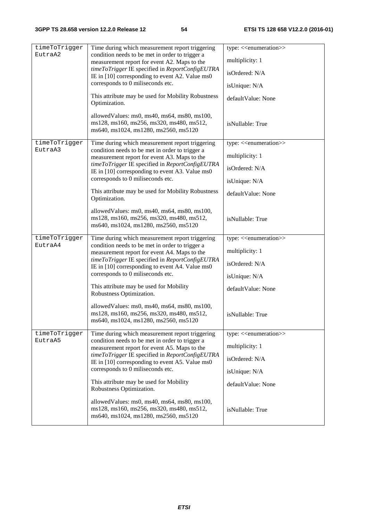| timeToTrigger | Time during which measurement report triggering                                                                                         | type: < <enumeration>&gt;</enumeration> |
|---------------|-----------------------------------------------------------------------------------------------------------------------------------------|-----------------------------------------|
| EutraA2       | condition needs to be met in order to trigger a                                                                                         |                                         |
|               | measurement report for event A2. Maps to the                                                                                            | multiplicity: 1                         |
|               | timeToTrigger IE specified in ReportConfigEUTRA<br>IE in [10] corresponding to event A2. Value ms0                                      | isOrdered: N/A                          |
|               | corresponds to 0 miliseconds etc.                                                                                                       | isUnique: N/A                           |
|               | This attribute may be used for Mobility Robustness<br>Optimization.                                                                     | defaultValue: None                      |
|               | allowedValues: ms0, ms40, ms64, ms80, ms100,<br>ms128, ms160, ms256, ms320, ms480, ms512,<br>ms640, ms1024, ms1280, ms2560, ms5120      | isNullable: True                        |
| timeToTrigger | Time during which measurement report triggering                                                                                         | type: < <enumeration>&gt;</enumeration> |
| EutraA3       | condition needs to be met in order to trigger a<br>measurement report for event A3. Maps to the                                         | multiplicity: 1                         |
|               | timeToTrigger IE specified in ReportConfigEUTRA<br>IE in [10] corresponding to event A3. Value ms0                                      | isOrdered: N/A                          |
|               | corresponds to 0 miliseconds etc.                                                                                                       | isUnique: N/A                           |
|               | This attribute may be used for Mobility Robustness<br>Optimization.                                                                     | defaultValue: None                      |
|               | allowedValues: ms0, ms40, ms64, ms80, ms100,<br>ms128, ms160, ms256, ms320, ms480, ms512,<br>ms640, ms1024, ms1280, ms2560, ms5120      | isNullable: True                        |
| timeToTrigger | Time during which measurement report triggering                                                                                         | type: < <enumeration>&gt;</enumeration> |
| EutraA4       | condition needs to be met in order to trigger a<br>measurement report for event A4. Maps to the                                         | multiplicity: 1                         |
|               | timeToTrigger IE specified in ReportConfigEUTRA<br>IE in [10] corresponding to event A4. Value ms0                                      | isOrdered: N/A                          |
|               | corresponds to 0 miliseconds etc.                                                                                                       | isUnique: N/A                           |
|               | This attribute may be used for Mobility<br>Robustness Optimization.                                                                     | defaultValue: None                      |
|               | allowedValues: ms0, ms40, ms64, ms80, ms100,<br>ms128, ms160, ms256, ms320, ms480, ms512,<br>ms640, ms1024, ms1280, ms2560, ms5120      | isNullable: True                        |
| timeToTrigger | Time during which measurement report triggering                                                                                         | type: < <enumeration>&gt;</enumeration> |
| EutraA5       | condition needs to be met in order to trigger a<br>measurement report for event A5. Maps to the                                         | multiplicity: 1                         |
|               | timeToTrigger IE specified in ReportConfigEUTRA<br>IE in [10] corresponding to event A5. Value ms0<br>corresponds to 0 miliseconds etc. | isOrdered: N/A                          |
|               |                                                                                                                                         | isUnique: N/A                           |
|               | This attribute may be used for Mobility<br>Robustness Optimization.                                                                     | defaultValue: None                      |
|               | allowed Values: ms0, ms40, ms64, ms80, ms100,<br>ms128, ms160, ms256, ms320, ms480, ms512,<br>ms640, ms1024, ms1280, ms2560, ms5120     | isNullable: True                        |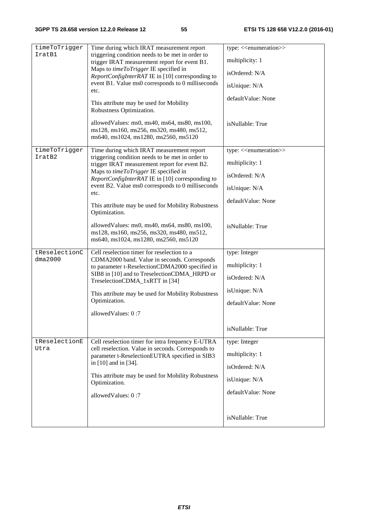| timeToTrigger |                                                                                                                                                                                                                           |                                         |
|---------------|---------------------------------------------------------------------------------------------------------------------------------------------------------------------------------------------------------------------------|-----------------------------------------|
| IratB1        | Time during which IRAT measurement report<br>triggering condition needs to be met in order to                                                                                                                             | type: < <enumeration>&gt;</enumeration> |
|               | trigger IRAT measurement report for event B1.                                                                                                                                                                             | multiplicity: 1                         |
|               | Maps to timeToTrigger IE specified in<br>ReportConfigInterRAT IE in [10] corresponding to                                                                                                                                 | isOrdered: N/A                          |
|               | event B1. Value ms0 corresponds to 0 milliseconds<br>etc.                                                                                                                                                                 | isUnique: N/A                           |
|               | This attribute may be used for Mobility                                                                                                                                                                                   | defaultValue: None                      |
|               | Robustness Optimization.                                                                                                                                                                                                  |                                         |
|               | allowed Values: ms0, ms40, ms64, ms80, ms100,<br>ms128, ms160, ms256, ms320, ms480, ms512,<br>ms640, ms1024, ms1280, ms2560, ms5120                                                                                       | isNullable: True                        |
| timeToTrigger | Time during which IRAT measurement report                                                                                                                                                                                 | type: < <enumeration>&gt;</enumeration> |
| IratB2        | triggering condition needs to be met in order to<br>trigger IRAT measurement report for event B2.                                                                                                                         | multiplicity: 1                         |
|               | Maps to timeToTrigger IE specified in<br>ReportConfigInterRAT IE in [10] corresponding to                                                                                                                                 | isOrdered: N/A                          |
|               | event B2. Value ms0 corresponds to 0 milliseconds<br>etc.                                                                                                                                                                 | isUnique: N/A                           |
|               | This attribute may be used for Mobility Robustness<br>Optimization.                                                                                                                                                       | defaultValue: None                      |
|               | allowedValues: ms0, ms40, ms64, ms80, ms100,<br>ms128, ms160, ms256, ms320, ms480, ms512,<br>ms640, ms1024, ms1280, ms2560, ms5120                                                                                        | isNullable: True                        |
| tReselectionC | Cell reselection timer for reselection to a                                                                                                                                                                               | type: Integer                           |
| dma2000       | CDMA2000 band. Value in seconds. Corresponds<br>to parameter t-ReselectionCDMA2000 specified in                                                                                                                           | multiplicity: 1                         |
|               | SIB8 in [10] and to TreselectionCDMA_HRPD or<br>TreselectionCDMA_1xRTT in [34]                                                                                                                                            | isOrdered: N/A                          |
|               | This attribute may be used for Mobility Robustness                                                                                                                                                                        | isUnique: N/A                           |
|               | Optimization.                                                                                                                                                                                                             | defaultValue: None                      |
|               | allowedValues: 0:7                                                                                                                                                                                                        |                                         |
|               |                                                                                                                                                                                                                           | isNullable: True                        |
| tReselectionE | Cell reselection timer for intra frequency E-UTRA                                                                                                                                                                         | type: Integer                           |
| Utra          | cell reselection. Value in seconds. Corresponds to<br>parameter t-ReselectionEUTRA specified in SIB3<br>in [10] and in [34].<br>This attribute may be used for Mobility Robustness<br>Optimization.<br>allowedValues: 0:7 | multiplicity: 1                         |
|               |                                                                                                                                                                                                                           | isOrdered: N/A                          |
|               |                                                                                                                                                                                                                           | isUnique: N/A                           |
|               |                                                                                                                                                                                                                           | defaultValue: None                      |
|               |                                                                                                                                                                                                                           |                                         |
|               |                                                                                                                                                                                                                           | isNullable: True                        |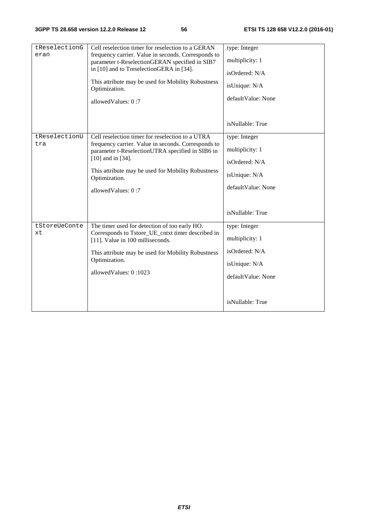| tReselectionG<br>eran | Cell reselection timer for reselection to a GERAN<br>frequency carrier. Value in seconds. Corresponds to<br>parameter t-ReselectionGERAN specified in SIB7<br>in [10] and to TreselectionGERA in [34].<br>This attribute may be used for Mobility Robustness<br>Optimization.      | type: Integer<br>multiplicity: 1<br>isOrdered: N/A<br>isUnique: N/A<br>defaultValue: None                     |
|-----------------------|------------------------------------------------------------------------------------------------------------------------------------------------------------------------------------------------------------------------------------------------------------------------------------|---------------------------------------------------------------------------------------------------------------|
|                       | allowedValues: 0:7                                                                                                                                                                                                                                                                 | isNullable: True                                                                                              |
| tReselectionU<br>tra  | Cell reselection timer for reselection to a UTRA<br>frequency carrier. Value in seconds. Corresponds to<br>parameter t-ReselectionUTRA specified in SIB6 in<br>$[10]$ and in $[34]$ .<br>This attribute may be used for Mobility Robustness<br>Optimization.<br>allowedValues: 0:7 | type: Integer<br>multiplicity: 1<br>isOrdered: N/A<br>isUnique: N/A<br>defaultValue: None<br>isNullable: True |
| tStoreUeConte<br>xt   | The timer used for detection of too early HO.<br>Corresponds to Tstore_UE_cntxt timer described in<br>[11]. Value in 100 milliseconds.<br>This attribute may be used for Mobility Robustness<br>Optimization.<br>allowedValues: 0:1023                                             | type: Integer<br>multiplicity: 1<br>isOrdered: N/A<br>isUnique: N/A<br>defaultValue: None<br>isNullable: True |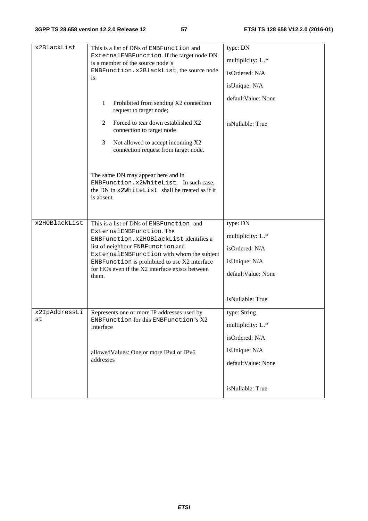| $x2B$ lackList      | This is a list of DNs of ENBFunction and<br>ExternalENBFunction. If the target node DN<br>is a member of the source node"s<br>ENBFunction.x2BlackList, the source node<br>is:                                                                                                                                                        | type: DN<br>multiplicity: 1*<br>isOrdered: N/A<br>isUnique: N/A                                           |
|---------------------|--------------------------------------------------------------------------------------------------------------------------------------------------------------------------------------------------------------------------------------------------------------------------------------------------------------------------------------|-----------------------------------------------------------------------------------------------------------|
|                     | $\mathbf{1}$<br>Prohibited from sending X2 connection<br>request to target node;                                                                                                                                                                                                                                                     | defaultValue: None                                                                                        |
|                     | Forced to tear down established X2<br>2<br>connection to target node                                                                                                                                                                                                                                                                 | isNullable: True                                                                                          |
|                     | Not allowed to accept incoming X2<br>3<br>connection request from target node.                                                                                                                                                                                                                                                       |                                                                                                           |
|                     | The same DN may appear here and in<br>ENBFunction.x2WhiteList. In such case,<br>the DN in x2WhiteList shall be treated as if it<br>is absent.                                                                                                                                                                                        |                                                                                                           |
| x2HOBlackList       | This is a list of DNs of ENBFunction and<br>ExternalENBFunction. The<br>ENBFunction.x2HOBlackListidentifies a<br>list of neighbour ENBFunction and<br>ExternalENBFunction with whom the subject<br>ENBFunction is prohibited to use X2 interface<br>for HO <sub>s</sub> even if the X <sub>2</sub> interface exists between<br>them. | type: DN<br>multiplicity: 1*<br>isOrdered: N/A<br>isUnique: N/A<br>defaultValue: None<br>isNullable: True |
| x2IpAddressLi<br>SU | Represents one or more IP addresses used by<br>ENBFunction for this ENBFunction"s X2<br>Interface                                                                                                                                                                                                                                    | type: String<br>multiplicity: 1*<br>isOrdered: N/A                                                        |
|                     | allowed Values: One or more IPv4 or IPv6<br>addresses                                                                                                                                                                                                                                                                                | isUnique: N/A<br>defaultValue: None                                                                       |
|                     |                                                                                                                                                                                                                                                                                                                                      | isNullable: True                                                                                          |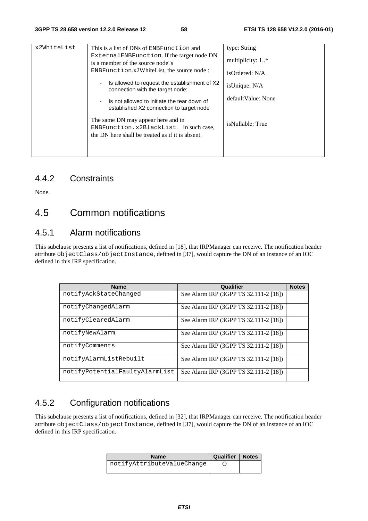| x2WhiteList<br>This is a list of DNs of ENBFunction and<br>External ENBFunction. If the target node DN<br>is a member of the source node"s<br>$ENBFunction.x2WhiteList, the source node:$<br>Is allowed to request the establishment of X2<br>$\overline{\phantom{a}}$<br>connection with the target node;<br>Is not allowed to initiate the tear down of<br>$\overline{\phantom{0}}$<br>established X2 connection to target node | type: String<br>multiplicity: $1.*$<br>isOrdered: N/A<br>isUnique: N/A<br>default Value: None                                    |                  |
|-----------------------------------------------------------------------------------------------------------------------------------------------------------------------------------------------------------------------------------------------------------------------------------------------------------------------------------------------------------------------------------------------------------------------------------|----------------------------------------------------------------------------------------------------------------------------------|------------------|
|                                                                                                                                                                                                                                                                                                                                                                                                                                   | The same DN may appear here and in<br>ENBFunction.x2BlackList. In such case,<br>the DN here shall be treated as if it is absent. | isNullable: True |

#### 4.4.2 Constraints

None.

### 4.5 Common notifications

#### 4.5.1 Alarm notifications

This subclause presents a list of notifications, defined in [18], that IRPManager can receive. The notification header attribute objectClass/objectInstance, defined in [37], would capture the DN of an instance of an IOC defined in this IRP specification.

| <b>Name</b>                    | Qualifier                             | <b>Notes</b> |
|--------------------------------|---------------------------------------|--------------|
| notifyAckStateChanged          | See Alarm IRP (3GPP TS 32.111-2 [18]) |              |
| notifyChangedAlarm             | See Alarm IRP (3GPP TS 32.111-2 [18]) |              |
| notifyClearedAlarm             | See Alarm IRP (3GPP TS 32.111-2 [18]) |              |
| notifyNewAlarm                 | See Alarm IRP (3GPP TS 32.111-2 [18]) |              |
| notifyComments                 | See Alarm IRP (3GPP TS 32.111-2 [18]) |              |
| notifyAlarmListRebuilt         | See Alarm IRP (3GPP TS 32.111-2 [18]) |              |
| notifyPotentialFaultyAlarmList | See Alarm IRP (3GPP TS 32.111-2 [18]) |              |

### 4.5.2 Configuration notifications

This subclause presents a list of notifications, defined in [32], that IRPManager can receive. The notification header attribute objectClass/objectInstance, defined in [37], would capture the DN of an instance of an IOC defined in this IRP specification.

| <b>Name</b>                | <b>Qualifier   Notes</b> |  |
|----------------------------|--------------------------|--|
| notifyAttributeValueChange |                          |  |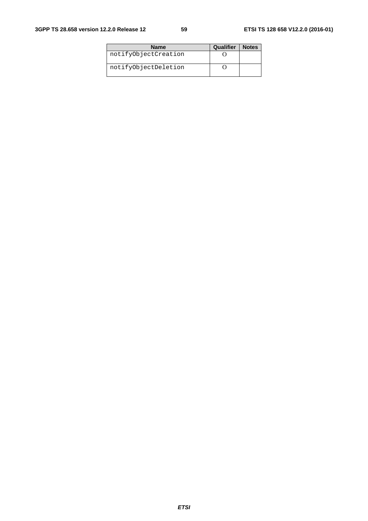| <b>Name</b>          | Qualifier | <b>Notes</b> |
|----------------------|-----------|--------------|
| notifyObjectCreation |           |              |
| notifyObjectDeletion |           |              |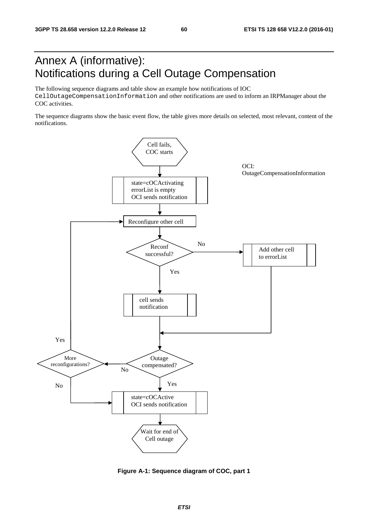### Annex A (informative): Notifications during a Cell Outage Compensation

The following sequence diagrams and table show an example how notifications of IOC CellOutageCompensationInformation and other notifications are used to inform an IRPManager about the COC activities.

The sequence diagrams show the basic event flow, the table gives more details on selected, most relevant, content of the notifications.



**Figure A-1: Sequence diagram of COC, part 1**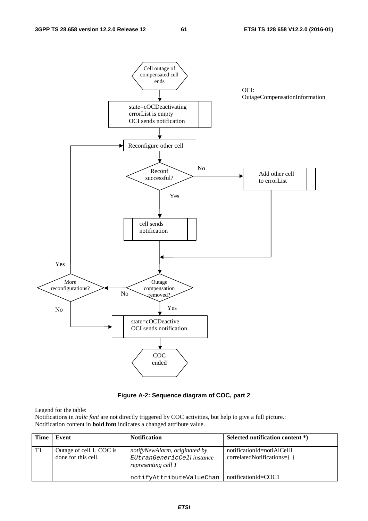

#### **Figure A-2: Sequence diagram of COC, part 2**

Legend for the table:

Notifications in *italic font* are not directly triggered by COC activities, but help to give a full picture.: Notification content in **bold font** indicates a changed attribute value.

| <b>Time</b> | Event                                           | <b>Notification</b>                                                                | Selected notification content *)                                |
|-------------|-------------------------------------------------|------------------------------------------------------------------------------------|-----------------------------------------------------------------|
| T1          | Outage of cell 1. COC is<br>done for this cell. | notifyNewAlarm, originated by<br>EUtranGenericCell instance<br>representing cell 1 | notificationId=notiAlCell1<br>$correlatedNotifications = \{ \}$ |
|             |                                                 | notifyAttributeValueChan                                                           | notificationId=COC1                                             |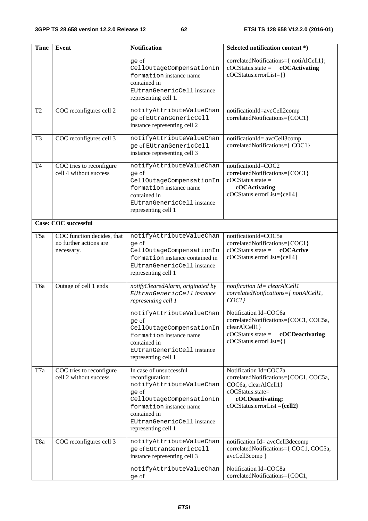| <b>Time</b>     | <b>Event</b>                                                       | <b>Notification</b>                                                                                                                                                                                                                                     | Selected notification content *)                                                                                                                                                                                                       |
|-----------------|--------------------------------------------------------------------|---------------------------------------------------------------------------------------------------------------------------------------------------------------------------------------------------------------------------------------------------------|----------------------------------------------------------------------------------------------------------------------------------------------------------------------------------------------------------------------------------------|
|                 |                                                                    | ge of<br>CellOutageCompensationIn<br>formation instance name<br>contained in<br>EUtranGenericCell instance<br>representing cell 1.                                                                                                                      | correlatedNotifications={ notiAlCell1};<br>$\text{cOC}$ Status.state =<br>cOCActivating<br>cOCStatus.errorList={}                                                                                                                      |
| T <sub>2</sub>  | COC reconfigures cell 2                                            | notifyAttributeValueChan<br>ge of EUtranGenericCell<br>instance representing cell 2                                                                                                                                                                     | notificationId=avcCell2comp<br>correlatedNotifications={COC1}                                                                                                                                                                          |
| T <sub>3</sub>  | COC reconfigures cell 3                                            | notifyAttributeValueChan<br>ge of EUtranGenericCell<br>instance representing cell 3                                                                                                                                                                     | notificationId= avcCell3comp<br>correlatedNotifications={ COC1}                                                                                                                                                                        |
| <b>T4</b>       | COC tries to reconfigure<br>cell 4 without success                 | notifyAttributeValueChan<br>ge of<br>CellOutageCompensationIn<br>formation instance name<br>contained in<br>EUtranGenericCell instance<br>representing cell 1                                                                                           | notificationId=COC2<br>correlatedNotifications={COC1}<br>$cOCStatus.state =$<br>cOCActivating<br>cOCStatus.errorList={cell4}                                                                                                           |
|                 | <b>Case: COC successful</b>                                        |                                                                                                                                                                                                                                                         |                                                                                                                                                                                                                                        |
| T <sub>5a</sub> | COC function decides, that<br>no further actions are<br>necessary. | notifyAttributeValueChan<br>ge of<br>CellOutageCompensationIn<br>formation instance contained in<br>EUtranGenericCell instance<br>representing cell 1                                                                                                   | notificationId=COC5a<br>correlatedNotifications={COC1}<br>$cOCStatus.state =$<br>cOCActive<br>cOCStatus.errorList={cell4}                                                                                                              |
| Тба             | Outage of cell 1 ends                                              | notifyClearedAlarm, originated by<br>EUtranGenericCell instance<br>representing cell 1<br>notifyAttributeValueChan<br>ge of<br>CellOutageCompensationIn<br>formation instance name<br>contained in<br>EUtranGenericCell instance<br>representing cell 1 | notification Id= clearAlCell1<br>correlatedNotifications={ notiAlCell1,<br>COCI<br>Notification Id=COC6a<br>correlatedNotifications={COC1, COC5a,<br>clearAlCell1}<br>$cOCStatus.state =$<br>cOCDeactivating<br>cOCStatus.errorList={} |
| T7a             | COC tries to reconfigure<br>cell 2 without success                 | In case of unsuccessful<br>reconfiguration:<br>notifyAttributeValueChan<br>ge of<br>CellOutageCompensationIn<br>formation instance name<br>contained in<br>EUtranGenericCell instance<br>representing cell 1                                            | Notification Id=COC7a<br>correlatedNotifications={COC1, COC5a,<br>COC6a, clearAlCell1}<br>cOCStatus.state=<br>cOCDeactivating;<br>$cOCStatus. errorList = {cell2}$                                                                     |
| T8a             | COC reconfigures cell 3                                            | notifyAttributeValueChan<br>ge of EUtranGenericCell<br>instance representing cell 3                                                                                                                                                                     | notification Id= avcCell3decomp<br>correlatedNotifications={ COC1, COC5a,<br>avcCell3comp }                                                                                                                                            |
|                 |                                                                    | notifyAttributeValueChan<br>ge of                                                                                                                                                                                                                       | Notification Id=COC8a<br>correlatedNotifications={COC1,                                                                                                                                                                                |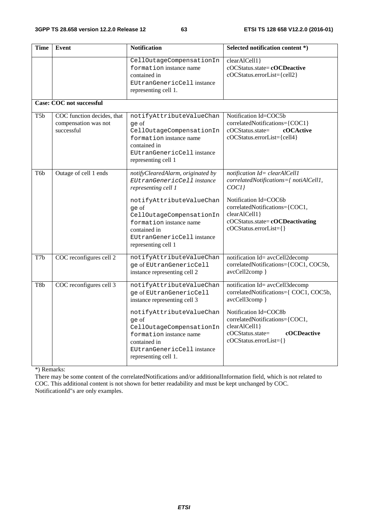| Time             | Event                                                            | <b>Notification</b>                                                                                                                                            | Selected notification content *)                                                                                                                |  |  |  |  |  |
|------------------|------------------------------------------------------------------|----------------------------------------------------------------------------------------------------------------------------------------------------------------|-------------------------------------------------------------------------------------------------------------------------------------------------|--|--|--|--|--|
|                  |                                                                  | CellOutageCompensationIn<br>formation instance name<br>contained in<br>EUtranGenericCell instance<br>representing cell 1.                                      | clearAlCell1}<br>cOCStatus.state=cOCDeactive<br>cOCStatus.errorList={cell2}                                                                     |  |  |  |  |  |
|                  | <b>Case: COC not successful</b>                                  |                                                                                                                                                                |                                                                                                                                                 |  |  |  |  |  |
| T <sub>5</sub> b | COC function decides, that<br>compensation was not<br>successful | notifyAttributeValueChan<br>ge of<br>CellOutageCompensationIn<br>formation instance name<br>contained in<br>EUtranGenericCell instance<br>representing cell 1  | Notification Id=COC5b<br>correlatedNotifications={COC1}<br>cOCActive<br>$cOCStatus.state =$<br>cOCStatus.errorList={cell4}                      |  |  |  |  |  |
| T <sub>6</sub> b | Outage of cell 1 ends                                            | notifyClearedAlarm, originated by<br>EUtranGenericCell instance<br>representing cell 1<br>notifyAttributeValueChan                                             | notification Id= clearAlCell1<br>correlatedNotifications={ notiAlCell1,<br>COCI<br>Notification Id=COC6b                                        |  |  |  |  |  |
|                  |                                                                  | qe of<br>CellOutageCompensationIn<br>formation instance name<br>contained in<br>EUtranGenericCell instance<br>representing cell 1                              | correlatedNotifications={COC1,<br>clearAlCell1}<br>cOCStatus.state=cOCDeactivating<br>cOCStatus.errorList={}                                    |  |  |  |  |  |
| T7b              | COC reconfigures cell 2                                          | notifyAttributeValueChan<br>ge of EUtranGenericCell<br>instance representing cell 2                                                                            | notification Id= avcCell2decomp<br>correlatedNotifications={COC1, COC5b,<br>avcCell2comp }                                                      |  |  |  |  |  |
| T8b              | COC reconfigures cell 3                                          | notifyAttributeValueChan<br>ge of EUtranGenericCell<br>instance representing cell 3                                                                            | notification Id= avcCell3decomp<br>correlatedNotifications={ COC1, COC5b,<br>avcCell3comp }                                                     |  |  |  |  |  |
|                  |                                                                  | notifyAttributeValueChan<br>ge of<br>CellOutageCompensationIn<br>formation instance name<br>contained in<br>EUtranGenericCell instance<br>representing cell 1. | Notification Id=COC8b<br>correlatedNotifications={COC1,<br>clearAlCell1}<br>$cOCStatus.state =$<br><b>cOCDeactive</b><br>cOCStatus.errorList={} |  |  |  |  |  |

\*) Remarks:

There may be some content of the correlatedNotifications and/or additionalInformation field, which is not related to COC. This additional content is not shown for better readability and must be kept unchanged by COC. NotificationId"s are only examples.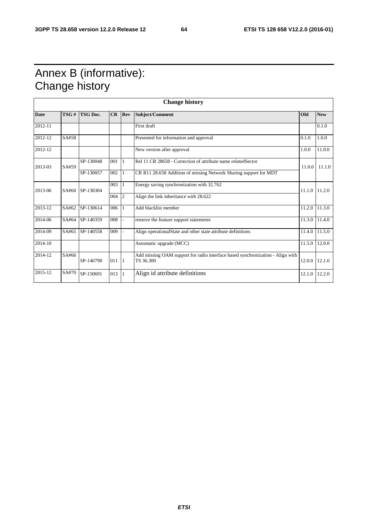## Annex B (informative): Change history

| <b>Change history</b> |       |                 |     |            |                                                                                             |        |                   |
|-----------------------|-------|-----------------|-----|------------|---------------------------------------------------------------------------------------------|--------|-------------------|
| <b>Date</b>           | TSG#  | <b>TSG Doc.</b> | CR  | <b>Rev</b> | <b>Subject/Comment</b>                                                                      | Old    | <b>New</b>        |
| 2012-11               |       |                 |     |            | First draft                                                                                 |        | 0.1.0             |
| 2012-12               | SA#58 |                 |     |            | Presented for information and approval                                                      | 0.1.0  | 1.0.0             |
| 2012-12               |       |                 |     |            | New version after approval                                                                  | 1.0.0  | 11.0.0            |
| 2013-03               | SA#59 | SP-130048       | 001 |            | Rel 11 CR 28658 - Correction of attribute name relatedSector                                | 11.0.0 | 11.1.0            |
|                       |       | SP-130057       | 002 |            | CR R11 28.658 Addition of missing Network Sharing support for MDT                           |        |                   |
| 2013-06               |       | SA#60 SP-130304 | 003 |            | Energy saving synchronization with 32.762                                                   |        | 11.1.0 11.2.0     |
|                       |       |                 | 004 | 2          | Align the link inheritance with 28.622                                                      |        |                   |
| 2013-12               | SA#62 | SP-130614       | 006 |            | Add blacklist member                                                                        | 11.2.0 | 11.3.0            |
| 2014-06               | SA#64 | SP-140359       | 008 |            | remove the feature support statements                                                       |        | $11.3.0$ 11.4.0   |
| 2014-09               | SA#65 | SP-140558       | 009 |            | Align operationalState and other state attribute definitions                                | 11.4.0 | 11.5.0            |
| 2014-10               |       |                 |     |            | Automatic upgrade (MCC)                                                                     | 11.5.0 | 12.0.0            |
| 2014-12               | SA#66 | SP-140798       | 011 | 11         | Add missing OAM support for radio interface based synchronization - Align with<br>TS 36.300 |        | $12.0.0$   12.1.0 |
| 2015-12               | SA#70 | SP-150691       | 013 |            | Align id attribute definitions                                                              |        | $12.1.0$ 12.2.0   |